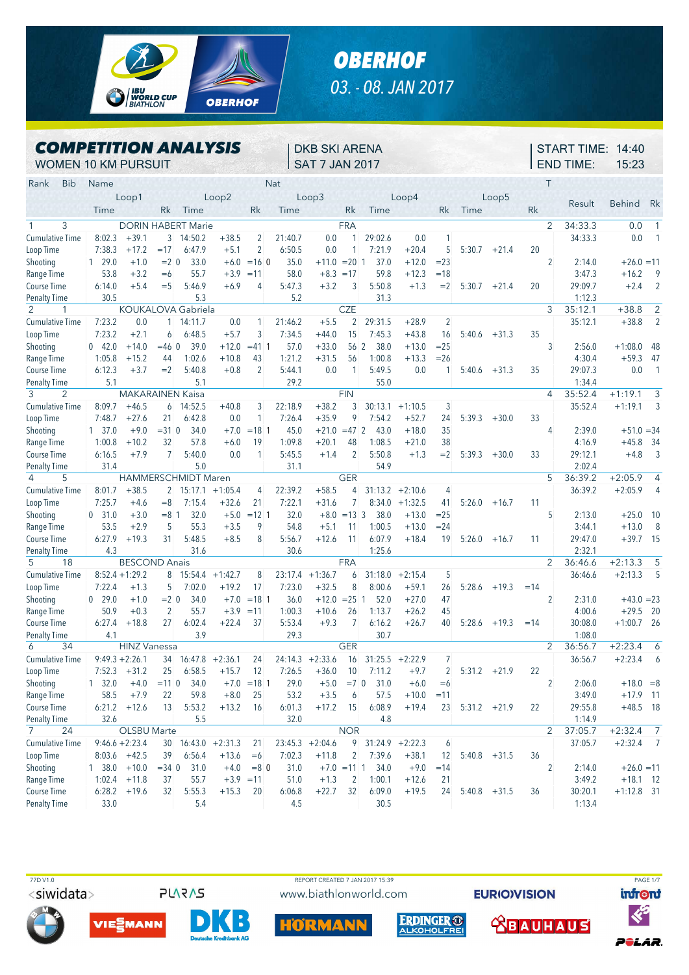

## *OBERHOF 03. - 08. JAN 2017*

## *COMPETITION ANALYSIS* WOMEN 10 KM PURSUIT

DKB SKI ARENA SAT 7 JAN 2017

START TIME: 14:40 END TIME: 15:23

| Rank<br><b>Bib</b>     | Name                    |                         |                |                           |                    |                | Nat     |                   |                |                     |           |                |                |                |       | $\top$         |         |               |                          |
|------------------------|-------------------------|-------------------------|----------------|---------------------------|--------------------|----------------|---------|-------------------|----------------|---------------------|-----------|----------------|----------------|----------------|-------|----------------|---------|---------------|--------------------------|
|                        |                         | Loop1                   |                |                           | Loop2              |                |         | Loop3             |                |                     | Loop4     |                |                | Loop5          |       |                |         |               |                          |
|                        | Time                    |                         | Rk             | Time                      |                    | Rk             | Time    |                   | Rk             | Time                |           | Rk             | Time           |                | Rk    |                | Result  | <b>Behind</b> | Rk                       |
| 3                      |                         |                         |                | <b>DORIN HABERT Marie</b> |                    |                |         |                   | <b>FRA</b>     |                     |           |                |                |                |       | 2              | 34:33.3 | 0.0           | $\overline{1}$           |
| <b>Cumulative Time</b> | 8:02.3                  | $+39.1$                 | 3              | 14:50.2                   | $+38.5$            | 2              | 21:40.7 | 0.0               | 1              | 29:02.6             | 0.0       | 1              |                |                |       |                | 34:33.3 | 0.0           | $\mathbf{1}$             |
| Loop Time              | 7:38.3                  | $+17.2$                 | $=17$          | 6:47.9                    | $+5.1$             | $\overline{c}$ | 6:50.5  | 0.0               | 1              | 7:21.9              | $+20.4$   | 5              | 5:30.7         | $+21.4$        | 20    |                |         |               |                          |
| Shooting               | 129.0                   | $+1.0$                  | $= 2 \ 0$      | 33.0                      |                    | $+6.0 = 160$   | 35.0    | $+11.0$           | $= 20$ 1       | 37.0                | $+12.0$   | $= 23$         |                |                |       | $\overline{2}$ | 2:14.0  | $+26.0 = 11$  |                          |
| Range Time             | 53.8                    | $+3.2$                  | $=6$           | 55.7                      | $+3.9$             | $=11$          | 58.0    | $+8.3$            | $=17$          | 59.8                | $+12.3$   | $=18$          |                |                |       |                | 3:47.3  | $+16.2$       | 9                        |
| <b>Course Time</b>     | 6:14.0                  | $+5.4$                  | $=$ 5          | 5:46.9                    | $+6.9$             | 4              | 5:47.3  | $+3.2$            | 3              | 5:50.8              | $+1.3$    | $=2$           | 5:30.7         | $+21.4$        | 20    |                | 29:09.7 | $+2.4$        | $\overline{2}$           |
| <b>Penalty Time</b>    | 30.5                    |                         |                | 5.3                       |                    |                | 5.2     |                   |                | 31.3                |           |                |                |                |       |                | 1:12.3  |               |                          |
| 2<br>1                 |                         |                         |                | <b>KOUKALOVA Gabriela</b> |                    |                |         |                   | <b>CZE</b>     |                     |           |                |                |                |       | 3              | 35:12.1 | $+38.8$       | 2                        |
| <b>Cumulative Time</b> | 7:23.2                  | 0.0                     | $\mathbf{1}$   | 14:11.7                   | 0.0                | 1              | 21:46.2 | $+5.5$            | $\overline{2}$ | 29:31.5             | $+28.9$   | $\overline{2}$ |                |                |       |                | 35:12.1 | $+38.8$       | $\overline{2}$           |
| Loop Time              | 7:23.2                  | $+2.1$                  | 6              | 6:48.5                    | $+5.7$             | 3              | 7:34.5  | $+44.0$           | 15             | 7:45.3              | $+43.8$   | 16             | 5:40.6         | $+31.3$        | 35    |                |         |               |                          |
| Shooting               | 042.0                   | $+14.0$                 | $= 46$ 0       | 39.0                      | $+12.0$            | $= 411$        | 57.0    | $+33.0$           | 56 2           | 38.0                | $+13.0$   | $= 25$         |                |                |       | 3              | 2:56.0  | $+1:08.0$     | 48                       |
| Range Time             | 1:05.8                  | $+15.2$                 | 44             | 1:02.6                    | $+10.8$            | 43             | 1:21.2  | $+31.5$           | 56             | 1:00.8              | $+13.3$   | $= 26$         |                |                |       |                | 4:30.4  | $+59.3$       | 47                       |
| Course Time            | 6:12.3                  | $+3.7$                  | $=2$           | 5:40.8                    | $+0.8$             | $\overline{2}$ | 5:44.1  | 0.0               | $\mathbf{1}$   | 5:49.5              | 0.0       | 1              | 5:40.6         | $+31.3$        | 35    |                | 29:07.3 | 0.0           | $\overline{\phantom{0}}$ |
| <b>Penalty Time</b>    | 5.1                     |                         |                | 5.1                       |                    |                | 29.2    |                   |                | 55.0                |           |                |                |                |       |                | 1:34.4  |               |                          |
| 3<br>2                 |                         | <b>MAKARAINEN Kaisa</b> |                |                           |                    |                |         |                   | <b>FIN</b>     |                     |           |                |                |                |       | $\overline{4}$ | 35:52.4 | $+1:19.1$     | 3                        |
| <b>Cumulative Time</b> | 8:09.7                  | $+46.5$                 | 6              | 14:52.5                   | $+40.8$            | 3              | 22:18.9 | $+38.2$           | 3              | 30:13.1             | $+1:10.5$ | 3              |                |                |       |                | 35:52.4 | $+1:19.1$     | 3                        |
| Loop Time              | 7:48.7                  | $+27.6$                 | 21             | 6:42.8                    | 0.0                | 1              | 7:26.4  | $+35.9$           | 9              | 7:54.2              | $+52.7$   | 24             | 5:39.3         | $+30.0$        | 33    |                |         |               |                          |
| Shooting               | $1 \quad 37.0$          | $+9.0$                  | $= 310$        | 34.0                      | $+7.0$             | $=18$ 1        | 45.0    | $+21.0$           | $=47$ 2        | 43.0                | $+18.0$   | 35             |                |                |       | 4              | 2:39.0  | $+51.0 = 34$  |                          |
| Range Time             | 1:00.8                  | $+10.2$                 | 32             | 57.8                      | $+6.0$             | 19             | 1:09.8  | $+20.1$           | 48             | 1:08.5              | $+21.0$   | 38             |                |                |       |                | 4:16.9  | $+45.8$       | - 34                     |
| Course Time            | 6:16.5                  | $+7.9$                  | $\overline{7}$ | 5:40.0                    | 0.0                | 1              | 5:45.5  | $+1.4$            | 2              | 5:50.8              | $+1.3$    | $=2$           | 5:39.3         | $+30.0$        | 33    |                | 29:12.1 | $+4.8$        | $\overline{3}$           |
| <b>Penalty Time</b>    | 31.4                    |                         |                | 5.0                       |                    |                | 31.1    |                   |                | 54.9                |           |                |                |                |       |                | 2:02.4  |               |                          |
| 5<br>4                 |                         |                         |                | HAMMERSCHMIDT Maren       |                    |                |         |                   | <b>GER</b>     |                     |           |                |                |                |       | 5              | 36:39.2 | $+2:05.9$     | 4                        |
| <b>Cumulative Time</b> | 8:01.7                  | $+38.5$                 | $\overline{2}$ | 15:17.1                   | $+1:05.4$          | 4              | 22:39.2 | $+58.5$           | 4              | 31:13.2             | $+2:10.6$ | 4              |                |                |       |                | 36:39.2 | $+2:05.9$     | $\overline{4}$           |
| Loop Time              | 7:25.7                  | $+4.6$                  | $=8$           | 7:15.4                    | $+32.6$            | 21             | 7:22.1  | $+31.6$           | $\overline{7}$ | 8:34.0              | $+1:32.5$ | 41             | 5:26.0         | $+16.7$        | 11    |                |         |               |                          |
| Shooting               | 0, 31.0                 | $+3.0$                  | $= 8 \; 1$     | 32.0                      | $+5.0$             | $=12$ 1        | 32.0    | $+8.0$            | $= 13 \, 3$    | 38.0                | $+13.0$   | $= 25$         |                |                |       | 5              | 2:13.0  | $+25.0$       | -10                      |
| Range Time             | 53.5                    | $+2.9$                  | 5              | 55.3                      | $+3.5$             | 9              | 54.8    | $+5.1$            | 11             | 1:00.5              | $+13.0$   | $= 24$         |                |                |       |                | 3:44.1  | $+13.0$       | 8                        |
| <b>Course Time</b>     | 6:27.9                  | $+19.3$                 | 31             | 5:48.5                    | $+8.5$             | 8              | 5:56.7  | $+12.6$           | 11             | 6:07.9              | $+18.4$   | 19             | 5:26.0         | $+16.7$        | 11    |                | 29:47.0 | $+39.7$       | 15                       |
| <b>Penalty Time</b>    | 4.3                     |                         |                | 31.6                      |                    |                | 30.6    |                   |                | 1:25.6              |           |                |                |                |       |                | 2:32.1  |               |                          |
| 5<br>18                |                         | <b>BESCOND Anais</b>    |                |                           |                    |                |         |                   | <b>FRA</b>     |                     |           |                |                |                |       | 2              | 36:46.6 | $+2:13.3$     | 5                        |
| <b>Cumulative Time</b> |                         | $8:52.4 + 1:29.2$       | 8              |                           | $15:54.4 +1:42.7$  | 8              | 23:17.4 | $+1:36.7$         | 6              | 31:18.0             | $+2:15.4$ | 5              |                |                |       |                | 36:46.6 | $+2:13.3$     | 5                        |
| Loop Time              | 7:22.4                  | $+1.3$                  | 5              | 7:02.0                    | $+19.2$            | 17             | 7:23.0  | $+32.5$           | 8              | 8:00.6              | $+59.1$   | 26             | 5:28.6         | $+19.3$        | $=14$ |                |         |               |                          |
| Shooting               | 0 29.0                  | $+1.0$                  | $= 2 \ 0$      | 34.0                      | $+7.0$             | $=18$ 1        | 36.0    | $+12.0$           | $= 25 \; 1$    | 52.0                | $+27.0$   | 47             |                |                |       | 2              | 2:31.0  | $+43.0 = 23$  |                          |
| Range Time             | 50.9                    | $+0.3$                  | 2              | 55.7                      | $+3.9$             | $=11$          | 1:00.3  | $+10.6$           | 26             | 1:13.7              | $+26.2$   | 45             |                |                |       |                | 4:00.6  | $+29.5$       | -20                      |
| <b>Course Time</b>     | 6:27.4                  | $+18.8$                 | 27             | 6:02.4                    | $+22.4$            | 37             | 5:53.4  | $+9.3$            | 7              | 6:16.2              | $+26.7$   | 40             | 5:28.6         | $+19.3$        | $=14$ |                | 30:08.0 | $+1:00.7$     | -26                      |
| <b>Penalty Time</b>    | 4.1                     |                         |                | 3.9                       |                    |                | 29.3    |                   |                | 30.7                |           |                |                |                |       |                | 1:08.0  |               |                          |
| 6<br>34                |                         | <b>HINZ Vanessa</b>     |                |                           |                    |                |         |                   | <b>GER</b>     |                     |           |                |                |                |       | $\overline{2}$ | 36:56.7 | $+2:23.4$     | 6                        |
| <b>Cumulative Time</b> |                         | $9:49.3 + 2:26.1$       | 34             |                           | $16:47.8 + 2:36.1$ | 24             | 24:14.3 | $+2:33.6$         | 16             | 31:25.5             | $+2:22.9$ | 7              |                |                |       |                | 36:56.7 | $+2:23.4$     | 6                        |
| Loop Time              | 7:52.3                  | $+31.2$                 | 25             | 6:58.5                    | $+15.7$            | 12             | 7:26.5  | $+36.0$           | 10             | 7:11.2              | $+9.7$    | 2              | 5:31.2         | $+21.9$        | 22    |                |         |               |                          |
| Shooting               | $1 \quad 32.0$          | $+4.0$                  | $= 110$        | 34.0                      |                    | $+7.0 = 181$   | 29.0    | $+5.0$            | $= 70$         | 31.0                | $+6.0$    | $=6$           |                |                |       | $\overline{2}$ | 2:06.0  | $+18.0 = 8$   |                          |
| Range Time             | 58.5                    | $+7.9$                  | 22             | 59.8                      | $+8.0$             | 25             | 53.2    | $+3.5$            | 6              | 57.5                | $+10.0$   | $=11$          |                |                |       |                | 3:49.0  | $+17.9$       | - 11                     |
| Course Time            |                         | $6:21.2$ +12.6          | 13             | 5:53.2                    | $+13.2$            | 16             | 6:01.3  | $+17.2$ 15        |                | 6:08.9              | $+19.4$   | 23             | $5:31.2 +21.9$ |                | 22    |                | 29:55.8 | $+48.5$ 18    |                          |
| Penalty Time           | 32.6                    |                         |                | 5.5                       |                    |                | 32.0    |                   |                | 4.8                 |           |                |                |                |       |                | 1:14.9  |               |                          |
| $7^{\circ}$<br>24      |                         | OLSBU Marte             |                |                           |                    |                |         |                   | <b>NOR</b>     |                     |           |                |                |                |       | $\overline{2}$ | 37:05.7 | $+2:32.4$ 7   |                          |
| <b>Cumulative Time</b> |                         | $9:46.6 + 2:23.4$       |                | $30$ 16:43.0 +2:31.3      |                    | 21             |         | $23:45.3 +2:04.6$ |                | $9$ 31:24.9 +2:22.3 |           | 6              |                |                |       |                | 37:05.7 | $+2:32.4$ 7   |                          |
| Loop Time              |                         | $8:03.6$ +42.5          | 39             | 6:56.4                    | $+13.6$            | $=6$           | 7:02.3  | $+11.8$           | $\overline{2}$ | 7:39.6              | $+38.1$   | 12             |                | $5:40.8$ +31.5 | 36    |                |         |               |                          |
| Shooting               | $1\quad38.0\quad +10.0$ |                         | $= 34$ 0       | 31.0                      | $+4.0$             | $= 80$         | 31.0    | $+7.0 = 11$ 1     |                | 34.0                | $+9.0$    | $=14$          |                |                |       | $\overline{2}$ | 2:14.0  | $+26.0 = 11$  |                          |
| Range Time             | 1:02.4                  | $+11.8$                 | 37             | 55.7                      | $+3.9 = 11$        |                | 51.0    | $+1.3$            | $\overline{2}$ | 1:00.1              | $+12.6$   | 21             |                |                |       |                | 3:49.2  | $+18.1$ 12    |                          |
| Course Time            |                         | $6:28.2$ +19.6          | 32             | 5:55.3                    | $+15.3$            | 20             | 6:06.8  | $+22.7$           | 32             | 6:09.0              | $+19.5$   | 24             | $5:40.8$ +31.5 |                | 36    |                | 30:20.1 | $+1:12.8$ 31  |                          |
| <b>Penalty Time</b>    | 33.0                    |                         |                | 5.4                       |                    |                | 4.5     |                   |                | 30.5                |           |                |                |                |       |                | 1:13.4  |               |                          |

<siwidata>

**PLARAS** 





www.biathlonworld.com





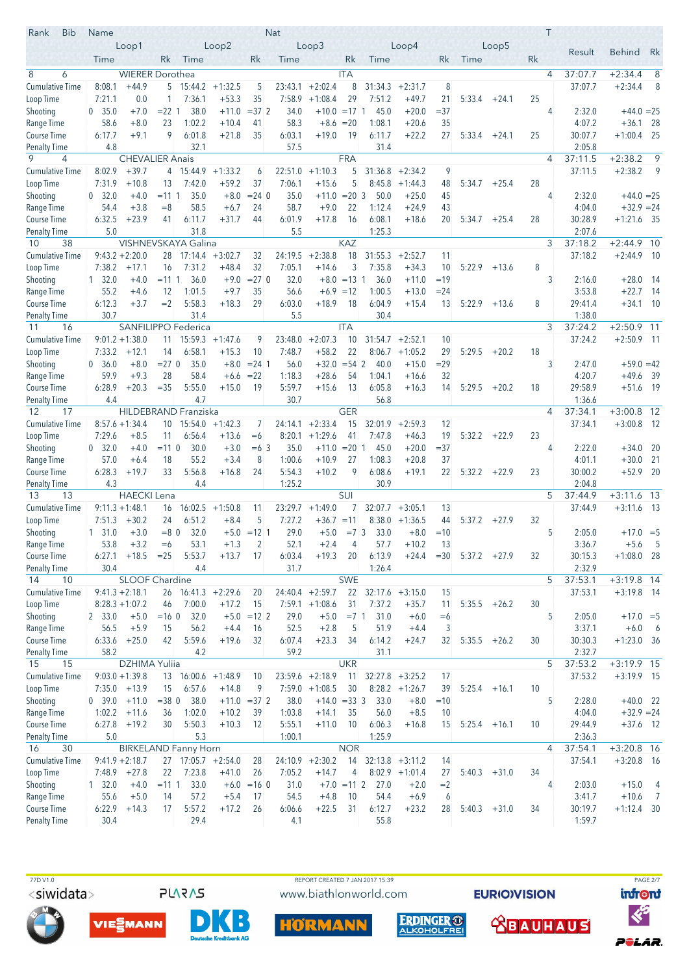| Rank<br><b>Bib</b>                 | Name                   |                                   |                   |                                             |                   |                | <b>Nat</b>     |                   |                     |                |                    |         |                 |         | Τ  |                    |                           |                                  |
|------------------------------------|------------------------|-----------------------------------|-------------------|---------------------------------------------|-------------------|----------------|----------------|-------------------|---------------------|----------------|--------------------|---------|-----------------|---------|----|--------------------|---------------------------|----------------------------------|
|                                    |                        | Loop1                             |                   |                                             | Loop2             |                |                | Loop <sub>3</sub> |                     |                | Loop4              |         |                 | Loop5   |    | Result             | <b>Behind</b>             | Rk                               |
|                                    | Time                   |                                   | Rk                | Time                                        |                   | Rk             | Time           |                   | Rk                  | Time           |                    | Rk      | Time            |         | Rk |                    |                           |                                  |
| 8<br>6                             |                        | <b>WIERER Dorothea</b>            |                   |                                             |                   |                |                |                   | <b>ITA</b>          |                |                    |         |                 |         | 4  | 37:07.7            | $+2:34.4$                 | 8                                |
| <b>Cumulative Time</b>             | 8:08.1                 | $+44.9$                           | 5                 | $15:44.2 + 1:32.5$                          |                   | 5              | 23:43.1        | $+2:02.4$         | 8                   | 31:34.3        | $+2:31.7$          | 8       |                 |         |    | 37:07.7            | $+2:34.4$                 | 8                                |
| Loop Time                          | 7:21.1                 | 0.0                               | $\mathbf{1}$      | 7:36.1                                      | $+53.3$           | 35             | 7:58.9         | $+1:08.4$         | 29                  | 7:51.2         | $+49.7$            | 21      | 5:33.4          | $+24.1$ | 25 |                    |                           |                                  |
| Shooting                           | 0, 35.0                | $+7.0$                            | $= 221$           | 38.0                                        | $+11.0$           | $=372$         | 34.0           | $+10.0 = 17$ 1    |                     | 45.0           | $+20.0$            | $=$ 37  |                 |         | 4  | 2:32.0             | $+44.0 = 25$              |                                  |
| Range Time                         | 58.6                   | $+8.0$                            | 23                | 1:02.2                                      | $+10.4$           | 41             | 58.3           |                   | $+8.6 = 20$         | 1:08.1         | $+20.6$            | 35      |                 |         |    | 4:07.2             | $+36.1$ 28                |                                  |
| Course Time                        | 6:17.7                 | $+9.1$                            | 9                 | 6:01.8                                      | $+21.8$           | 35             | 6:03.1         | $+19.0$           | 19                  | 6:11.7         | $+22.2$            | 27      | 5:33.4          | +24.1   | 25 | 30:07.7            | $+1:00.4$                 | - 25                             |
| <b>Penalty Time</b><br>9           | 4.8                    |                                   |                   | 32.1                                        |                   |                | 57.5           |                   |                     | 31.4           |                    |         |                 |         |    | 2:05.8             |                           | 9                                |
| 4<br><b>Cumulative Time</b>        | 8:02.9                 | <b>CHEVALIER Anais</b><br>$+39.7$ | 4                 | $15:44.9 + 1:33.2$                          |                   |                | 22:51.0        | $+1:10.3$         | <b>FRA</b><br>5     | 31:36.8        | $+2:34.2$          | 9       |                 |         | 4  | 37:11.5<br>37:11.5 | $+2:38.2$<br>$+2:38.2$    | 9                                |
| Loop Time                          | 7:31.9                 | $+10.8$                           | 13                | 7:42.0                                      | $+59.2$           | 6<br>37        | 7:06.1         | $+15.6$           | 5                   |                | $8:45.8$ +1:44.3   | 48      | 5:34.7          | $+25.4$ | 28 |                    |                           |                                  |
| Shooting                           | 0, 32.0                | $+4.0$                            | $= 1111$          | 35.0                                        | $+8.0$            | $= 24$ 0       | 35.0           | $+11.0$           | $= 20 \, 3$         | 50.0           | $+25.0$            | 45      |                 |         | 4  | 2:32.0             | $+44.0 = 25$              |                                  |
| Range Time                         | 54.4                   | $+3.8$                            | $=8$              | 58.5                                        | $+6.7$            | 24             | 58.7           | $+9.0$            | 22                  | 1:12.4         | $+24.9$            | 43      |                 |         |    | 4:04.0             | $+32.9 = 24$              |                                  |
| Course Time                        | 6:32.5                 | $+23.9$                           | 41                | 6:11.7                                      | $+31.7$           | 44             | 6:01.9         | $+17.8$           | 16                  | 6:08.1         | $+18.6$            | 20      | 5:34.7          | $+25.4$ | 28 | 30:28.9            | $+1:21.6$                 | - 35                             |
| <b>Penalty Time</b>                | 5.0                    |                                   |                   | 31.8                                        |                   |                | 5.5            |                   |                     | 1:25.3         |                    |         |                 |         |    | 2:07.6             |                           |                                  |
| 38<br>10                           |                        |                                   |                   | VISHNEVSKAYA Galina                         |                   |                |                |                   | <b>KAZ</b>          |                |                    |         |                 |         | 3  | 37:18.2            | $+2:44.9$                 | - 10                             |
| <b>Cumulative Time</b>             |                        | $9:43.2 + 2:20.0$                 |                   | $28$ 17:14.4 $+3:02.7$                      |                   | 32             | 24:19.5        | $+2:38.8$         | 18                  | 31:55.3        | $+2:52.7$          | 11      |                 |         |    | 37:18.2            | $+2:44.9$ 10              |                                  |
| Loop Time                          | 7:38.2                 | $+17.1$                           | 16                | 7:31.2                                      | $+48.4$           | 32             | 7:05.1         | $+14.6$           | 3                   | 7:35.8         | $+34.3$            | 10      | 5:22.9          | $+13.6$ | 8  |                    |                           |                                  |
| Shooting                           | $1 \quad 32.0$         | $+4.0$                            | $= 1111$          | 36.0                                        | $+9.0$            | $= 270$        | 32.0           | $+8.0$            | $= 13 \; 1$         | 36.0           | $+11.0$            | $=19$   |                 |         | 3  | 2:16.0             | $+28.0$                   | - 14                             |
| Range Time                         | 55.2                   | $+4.6$                            | 12                | 1:01.5                                      | $+9.7$            | 35             | 56.6           | $+6.9$            | $=12$               | 1:00.5         | $+13.0$            | $= 24$  |                 |         |    | 3:53.8             | $+22.7$                   | - 14                             |
| Course Time                        | 6:12.3                 | $+3.7$                            | $=2$              | 5:58.3                                      | $+18.3$           | 29             | 6:03.0         | $+18.9$           | 18                  | 6:04.9         | $+15.4$            | 13      | 5:22.9          | $+13.6$ | 8  | 29:41.4            | $+34.1$ 10                |                                  |
| <b>Penalty Time</b>                | 30.7                   |                                   |                   | 31.4                                        |                   |                | 5.5            |                   | <b>ITA</b>          | 30.4           |                    |         |                 |         | 3  | 1:38.0<br>37:24.2  |                           | 11                               |
| 11<br>16<br><b>Cumulative Time</b> |                        | $9:01.2 +1:38.0$                  |                   | SANFILIPPO Federica<br>$11$ 15:59.3 +1:47.6 |                   | 9              | 23:48.0        | $+2:07.3$         | 10                  |                | $31:54.7 +2:52.1$  | 10      |                 |         |    | 37:24.2            | $+2:50.9$<br>$+2:50.9$ 11 |                                  |
| Loop Time                          | 7:33.2                 | $+12.1$                           | 14                | 6:58.1                                      | $+15.3$           | 10             | 7:48.7         | $+58.2$           | 22                  | 8:06.7         | $+1:05.2$          | 29      | 5:29.5          | $+20.2$ | 18 |                    |                           |                                  |
| Shooting                           | 0, 36.0                | $+8.0$                            | $= 270$           | 35.0                                        | $+8.0$            | $= 24 \; 1$    | 56.0           | $+32.0$           | $= 54$ 2            | 40.0           | $+15.0$            | $= 29$  |                 |         | 3  | 2:47.0             | $+59.0 = 42$              |                                  |
| Range Time                         | 59.9                   | $+9.3$                            | 28                | 58.4                                        | $+6.6$            | $=22$          | 1:18.3         | $+28.6$           | 54                  | 1:04.1         | $+16.6$            | 32      |                 |         |    | 4:20.7             | $+49.6$                   | - 39                             |
| Course Time                        | 6:28.9                 | $+20.3$                           | $= 35$            | 5:55.0                                      | $+15.0$           | 19             | 5:59.7         | $+15.6$           | 13                  | 6:05.8         | $+16.3$            | 14      | 5:29.5          | $+20.2$ | 18 | 29:58.9            | $+51.6$ 19                |                                  |
| <b>Penalty Time</b>                | 4.4                    |                                   |                   | 4.7                                         |                   |                | 30.7           |                   |                     | 56.8           |                    |         |                 |         |    | 1:36.6             |                           |                                  |
| 12<br>17                           |                        |                                   |                   | <b>HILDEBRAND Franziska</b>                 |                   |                |                |                   | <b>GER</b>          |                |                    |         |                 |         | 4  | 37:34.1            | $+3:00.8$                 | 12                               |
| <b>Cumulative Time</b>             |                        | $8:57.6 + 1:34.4$                 |                   | 10 15:54.0                                  | $+1:42.3$         | 7              | 24:14.1        | $+2:33.4$         | 15                  | 32:01.9        | $+2:59.3$          | 12      |                 |         |    | 37:34.1            | $+3:00.8$                 | - 12                             |
| Loop Time                          | 7:29.6                 | $+8.5$                            | 11                | 6:56.4                                      | $+13.6$           | $=6$           | 8:20.1         | $+1:29.6$         | 41                  | 7:47.8         | $+46.3$            | 19      | 5:32.2          | $+22.9$ | 23 |                    |                           |                                  |
| Shooting                           | 0, 32.0                | $+4.0$                            | $= 110$           | 30.0                                        | $+3.0$            | $=6.3$         | 35.0           | $+11.0$           | $= 20 \, 1$         | 45.0           | $+20.0$            | $=$ 37  |                 |         | 4  | 2:22.0             | $+34.0$                   | - 20                             |
| Range Time                         | 57.0                   | $+6.4$                            | 18                | 55.2                                        | $+3.4$            | 8              | 1:00.6         | $+10.9$           | 27                  | 1:08.3         | $+20.8$            | 37      |                 |         |    | 4:01.1             | $+30.0$                   | - 21                             |
| Course Time                        | 6:28.3                 | $+19.7$                           | 33                | 5:56.8                                      | $+16.8$           | 24             | 5:54.3         | $+10.2$           | 9                   | 6:08.6         | $+19.1$            | 22      | $5:32.2 +22.9$  |         | 23 | 30:00.2            | $+52.9$                   | 20                               |
| <b>Penalty Time</b><br>13<br>13    | 4.3                    | <b>HAECKI</b> Lena                |                   | 4.4                                         |                   |                | 1:25.2         |                   | <b>SUI</b>          | 30.9           |                    |         |                 |         | 5  | 2:04.8<br>37:44.9  | $+3:11.6$                 | 13                               |
| <b>Cumulative Time</b>             |                        | $9:11.3 + 1:48.1$                 | 16                |                                             | $16:02.5 +1:50.8$ | 11             | 23:29.7        | $+1:49.0$         | 7                   |                | $32:07.7 + 3:05.1$ | 13      |                 |         |    | 37:44.9            | $+3:11.6$                 | - 13                             |
| Loop Time                          | 7:51.3                 | $+30.2$                           | 24                | 6:51.2                                      | $+8.4$            | 5              | 7:27.2         | $+36.7 = 11$      |                     |                | $8:38.0 +1:36.5$   | 44      | 5:37.2          | $+27.9$ | 32 |                    |                           |                                  |
| Shooting                           | $1\quad 31.0$          | $+3.0$                            | $= 80$            | 32.0                                        |                   | $+5.0 = 12$ 1  | 29.0           | $+5.0$            | $=72$               | 33.0           | $+8.0$             | $=10$   |                 |         | 5  | 2:05.0             | $+17.0 = 5$               |                                  |
| Range Time                         | 53.8                   | $+3.2$                            | $=6$              | 53.1                                        | $+1.3$            | $\overline{2}$ | 52.1           | $+2.4$            | 4                   | 57.7           | $+10.2$            | 13      |                 |         |    | 3:36.7             | $+5.6$                    |                                  |
| Course Time                        | 6:27.1                 | $+18.5 = 25$                      |                   | 5:53.7                                      | $+13.7$           | 17             | 6:03.4         | $+19.3$           | 20                  | 6:13.9         | $+24.4$            | $=30$   | $5:37.2 +27.9$  |         | 32 | 30:15.3            | $+1:08.0$ 28              |                                  |
| Penalty Time                       | 30.4                   |                                   |                   | 4.4                                         |                   |                | 31.7           |                   |                     | 1:26.4         |                    |         |                 |         |    | 2:32.9             |                           |                                  |
| 10<br>14                           |                        | SLOOF Chardine                    |                   |                                             |                   |                |                |                   | <b>SWE</b>          |                |                    |         |                 |         | 5  | 37:53.1            | $+3:19.8$ 14              |                                  |
| <b>Cumulative Time</b>             |                        | $9:41.3 + 2:18.1$                 |                   | $26$ 16:41.3 +2:29.6                        |                   | 20             |                | $24:40.4 +2:59.7$ | 22                  |                | $32:17.6 + 3:15.0$ | 15      |                 |         |    | 37:53.1            | $+3:19.8$ 14              |                                  |
| Loop Time                          |                        | $8:28.3 + 1:07.2$                 | 46                | 7:00.0                                      | $+17.2$           | 15             |                | $7:59.1 +1:08.6$  | 31                  | 7:37.2         | $+35.7$            | 11      | $5:35.5 + 26.2$ |         | 30 |                    |                           |                                  |
| Shooting                           | 2 33.0                 | $+5.0$                            | $=160$            | 32.0                                        | $+5.0$            | $=12$ 2        | 29.0           | $+5.0$            | $= 7 \, 1$          | 31.0           | $+6.0$             | $=6$    |                 |         | 5  | 2:05.0             | $+17.0 = 5$               |                                  |
| Range Time<br>Course Time          | 56.5<br>6:33.6         | $+5.9$<br>$+25.0$                 | 15<br>42          | 56.2<br>5:59.6                              | $+4.4$<br>$+19.6$ | 16<br>32       | 52.5<br>6:07.4 | $+2.8$<br>$+23.3$ | 5<br>34             | 51.9<br>6:14.2 | $+4.4$<br>$+24.7$  | 3<br>32 | $5:35.5 + 26.2$ |         | 30 | 3:37.1<br>30:30.3  | $+6.0$<br>$+1:23.0$ 36    | $6\overline{6}$                  |
| Penalty Time                       | 58.2                   |                                   |                   | 4.2                                         |                   |                | 59.2           |                   |                     | 31.1           |                    |         |                 |         |    | 2:32.7             |                           |                                  |
| 15<br>15                           |                        | <b>DZHIMA Yuliia</b>              |                   |                                             |                   |                |                |                   | <b>UKR</b>          |                |                    |         |                 |         | 5  | 37:53.2            | $+3:19.9$ 15              |                                  |
| <b>Cumulative Time</b>             |                        | $9:03.0 + 1:39.8$                 |                   | $13$ 16:00.6 +1:48.9                        |                   | 10             |                | $23:59.6 +2:18.9$ | 11                  |                | $32:27.8$ +3:25.2  | 17      |                 |         |    | 37:53.2            | $+3:19.9$ 15              |                                  |
| Loop Time                          |                        | $7:35.0 + 13.9$                   | 15                | 6:57.6                                      | $+14.8$           | 9              |                | $7:59.0 +1:08.5$  | 30                  |                | $8:28.2 +1:26.7$   | 39      | 5:25.4          | $+16.1$ | 10 |                    |                           |                                  |
| Shooting                           | 0.39.0                 | $+11.0$                           | $= 380$           | 38.0                                        |                   | $+11.0 = 37$ 2 | 38.0           | $+14.0 = 33$ 3    |                     | 33.0           | $+8.0$             | $=10$   |                 |         | 5  | 2:28.0             | $+40.0$ 22                |                                  |
| Range Time                         | 1:02.2                 | $+11.6$                           | 36                | 1:02.0                                      | $+10.2$           | 39             | 1:03.8         | $+14.1$           | 35                  | 56.0           | $+8.5$             | 10      |                 |         |    | 4:04.0             | $+32.9 = 24$              |                                  |
| Course Time                        | 6:27.8                 | $+19.2$                           | 30                | 5:50.3                                      | $+10.3$           | 12             | 5:55.1         | $+11.0$           | 10                  | 6:06.3         | $+16.8$            | 15      | $5:25.4$ +16.1  |         | 10 | 29:44.9            | $+37.6$ 12                |                                  |
| Penalty Time                       | 5.0                    |                                   |                   | 5.3                                         |                   |                | 1:00.1         |                   |                     | 1:25.9         |                    |         |                 |         |    | 2:36.3             |                           |                                  |
| 16<br>30                           |                        |                                   |                   | <b>BIRKELAND Fanny Horn</b>                 |                   |                |                |                   | <b>NOR</b>          |                |                    |         |                 |         | 4  | 37:54.1            | $+3:20.8$ 16              |                                  |
| <b>Cumulative Time</b>             |                        | $9:41.9 + 2:18.7$                 |                   | $27$ 17:05.7 +2:54.0                        |                   | 28             | 24:10.9        | $+2:30.2$         | 14                  |                | $32:13.8 + 3:11.2$ | 14      |                 |         |    | 37:54.1            | $+3:20.8$ 16              |                                  |
| Loop Time                          |                        | $7:48.9$ +27.8                    | 22                | 7:23.8                                      | $+41.0$           | 26             | 7:05.2         | $+14.7$           | 4                   |                | $8:02.9$ +1:01.4   | 27      | 5:40.3          | $+31.0$ | 34 |                    |                           |                                  |
| Shooting<br>Range Time             | $1 \quad 32.0$<br>55.6 | $+4.0$<br>$+5.0$                  | $= 11 \, 1$<br>14 | 33.0<br>57.2                                | $+5.4$            | $+6.0 = 160$   | 31.0<br>54.5   | $+4.8$            | $+7.0 = 11$ 2<br>10 | 27.0<br>54.4   | $+2.0$<br>$+6.9$   | $=2$    |                 |         | 4  | 2:03.0<br>3:41.7   | $+15.0$<br>$+10.6$        | $\overline{4}$<br>$\overline{7}$ |
| Course Time                        | 6:22.9                 | $+14.3$                           | 17                | 5:57.2                                      | $+17.2$           | 17<br>26       | 6:06.6         | $+22.5$           | 31                  | 6:12.7         | $+23.2$            | 6<br>28 | 5:40.3          | $+31.0$ | 34 | 30:19.7            | $+1:12.4$ 30              |                                  |
| <b>Penalty Time</b>                | 30.4                   |                                   |                   | 29.4                                        |                   |                | 4.1            |                   |                     | 55.8           |                    |         |                 |         |    | 1:59.7             |                           |                                  |
|                                    |                        |                                   |                   |                                             |                   |                |                |                   |                     |                |                    |         |                 |         |    |                    |                           |                                  |





www.biathlonworld.com

**HÖRMAN** 

REPORT CREATED 7 JAN 2017 15:39

ERDINGER O

**EURIOVISION** 

**<u> CBAUHAUS</u>** 



POLAR.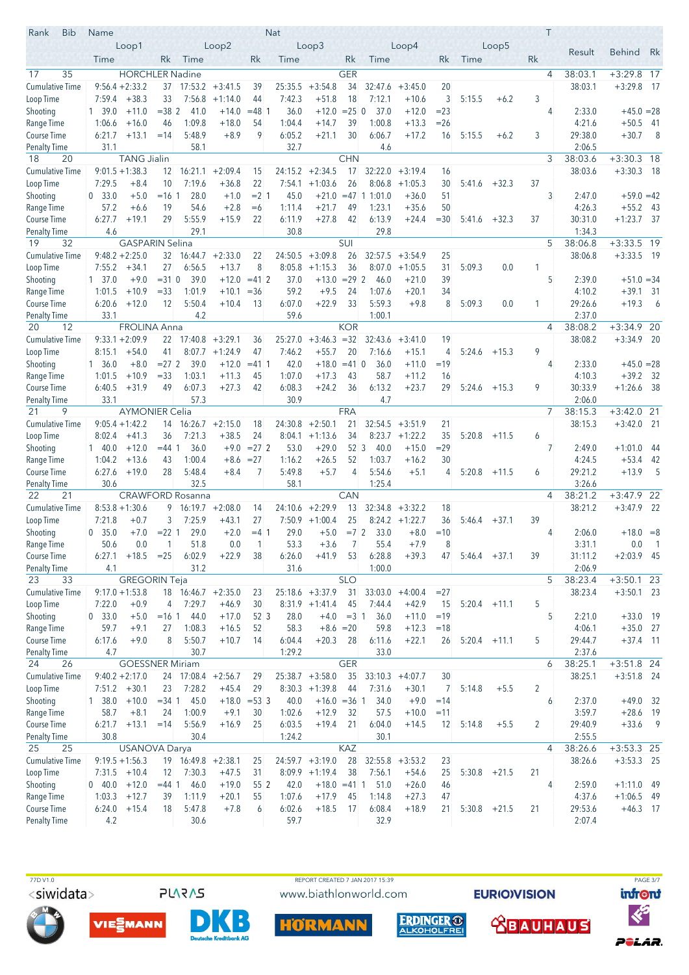| Rank<br><b>Bib</b>        | Name              |                        |                   |                                  |                    |                 | <b>Nat</b>       |                    |                 |                  |                    |          |                  |         | Τ              |                  |                              |                |
|---------------------------|-------------------|------------------------|-------------------|----------------------------------|--------------------|-----------------|------------------|--------------------|-----------------|------------------|--------------------|----------|------------------|---------|----------------|------------------|------------------------------|----------------|
|                           |                   | Loop1                  |                   |                                  | Loop <sub>2</sub>  |                 |                  | Loop <sub>3</sub>  |                 |                  | Loop4              |          |                  | Loop5   |                | Result           | <b>Behind</b>                | Rk             |
|                           | Time              |                        | Rk                | Time                             |                    | Rk              | Time             |                    | Rk              | Time             |                    | Rk       | Time             |         | Rk             |                  |                              |                |
| 35<br>17                  |                   | <b>HORCHLER Nadine</b> |                   |                                  |                    |                 |                  |                    | <b>GER</b>      |                  |                    |          |                  |         | $\overline{4}$ | 38:03.1          | $+3:29.8$ 17                 |                |
| <b>Cumulative Time</b>    |                   | $9:56.4 + 2:33.2$      | 37                |                                  | $17:53.2 + 3:41.5$ | 39              | 25:35.5          | $+3:54.8$          | 34              | 32:47.6          | $+3:45.0$          | 20       |                  |         |                | 38:03.1          | $+3:29.8$                    | - 17           |
| Loop Time                 |                   | $7:59.4$ +38.3         | 33                | 7:56.8                           | $+1:14.0$          | 44              | 7:42.3           | $+51.8$            | 18              | 7:12.1           | $+10.6$            | 3        | 5:15.5           | $+6.2$  | 3              |                  |                              |                |
| Shooting                  | 1 39.0            | $+11.0$                | $= 382$           | 41.0                             | $+14.0$            | $= 48$ 1        | 36.0             | $+12.0$            | $= 25$ 0        | 37.0             | $+12.0$            | $= 23$   |                  |         | 4              | 2:33.0           | $+45.0 = 28$                 |                |
| Range Time                | 1:06.6            | $+16.0$                | 46                | 1:09.8                           | $+18.0$            | 54              | 1:04.4           | $+14.7$            | 39              | 1:00.8           | $+13.3$            | $= 26$   |                  |         |                | 4:21.6           | $+50.5$ 41                   |                |
| Course Time               | 6:21.7            | $+13.1$                | $=14$             | 5:48.9                           | $+8.9$             | 9               | 6:05.2           | $+21.1$            | 30              | 6:06.7           | $+17.2$            | 16       | 5:15.5           | $+6.2$  | 3              | 29:38.0          | $+30.7$                      | $_{8}$         |
| <b>Penalty Time</b>       | 31.1              |                        |                   | 58.1                             |                    |                 | 32.7             |                    |                 | 4.6              |                    |          |                  |         |                | 2:06.5           |                              |                |
| 20<br>18                  |                   | <b>TANG Jialin</b>     |                   |                                  |                    |                 |                  |                    | <b>CHN</b>      |                  |                    |          |                  |         | 3              | 38:03.6          | $+3:30.3$ 18                 |                |
| <b>Cumulative Time</b>    |                   | $9:01.5 + 1:38.3$      |                   | 12 16:21.1                       | $+2:09.4$          | 15              | 24:15.2          | $+2:34.5$          | 17              | 32:22.0          | $+3:19.4$          | 16       |                  |         |                | 38:03.6          | $+3:30.3$ 18                 |                |
| Loop Time                 | 7:29.5            | $+8.4$                 | 10                | 7:19.6                           | $+36.8$            | 22              | 7:54.1           | $+1:03.6$          | 26              | 8:06.8           | $+1:05.3$          | 30       | 5:41.6           | $+32.3$ | 37             |                  |                              |                |
| Shooting                  | 0, 33.0           | $+5.0$                 | $=161$            | 28.0                             | $+1.0$             | $= 2 \, 1$      | 45.0             | $+21.0$            | $=47$           | 11:01.0          | $+36.0$            | 51       |                  |         | 3              | 2:47.0           | $+59.0 = 42$                 |                |
| Range Time                | 57.2              | $+6.6$                 | 19                | 54.6                             | $+2.8$             | $=6$            | 1:11.4           | $+21.7$            | 49              | 1:23.1           | $+35.6$            | 50       |                  |         |                | 4:26.3           | $+55.2$                      | - 43           |
| Course Time               | 6:27.7            | $+19.1$                | 29                | 5:55.9                           | $+15.9$            | 22              | 6:11.9           | $+27.8$            | 42              | 6:13.9           | $+24.4$            | $= 30$   | 5:41.6           | $+32.3$ | 37             | 30:31.0          | $+1:23.7$                    | - 37           |
| <b>Penalty Time</b>       | 4.6               |                        |                   | 29.1                             |                    |                 | 30.8             |                    |                 | 29.8             |                    |          |                  |         |                | 1:34.3           |                              |                |
| 19<br>32                  |                   | <b>GASPARIN Selina</b> |                   |                                  |                    |                 |                  |                    | SUI             |                  |                    |          |                  |         | 5              | 38:06.8          | $+3:33.5$ 19                 |                |
| Cumulative Time           |                   | $9:48.2 + 2:25.0$      |                   | $32 \quad 16:44.7 \quad +2:33.0$ |                    | 22              | 24:50.5          | $+3:09.8$          | 26              | 32:57.5          | $+3:54.9$          | 25       |                  |         |                | 38:06.8          | $+3:33.5$ 19                 |                |
| Loop Time                 | 7:55.2            | $+34.1$                | 27                | 6:56.5                           | $+13.7$            | 8               | 8:05.8           | $+1:15.3$          | 36              | 8:07.0           | $+1:05.5$          | 31       | 5:09.3           | 0.0     | 1              |                  |                              |                |
| Shooting                  | $1 \quad 37.0$    | $+9.0$                 | $= 31$ 0          | 39.0                             | $+12.0$            | $= 412$         | 37.0             | $+13.0$            | $= 29$ 2        | 46.0             | $+21.0$            | 39       |                  |         | 5              | 2:39.0           | $+51.0 = 34$                 |                |
| Range Time                | 1:01.5            | $+10.9$                | $= 33$            | 1:01.9                           | $+10.1$            | $=$ 36          | 59.2             | $+9.5$             | 24              | 1:07.6           | $+20.1$            | 34       |                  |         |                | 4:10.2           | $+39.1$                      | - 31           |
| Course Time               | 6:20.6            | $+12.0$                | 12                | 5:50.4                           | $+10.4$            | 13              | 6:07.0           | $+22.9$            | 33              | 5:59.3           | $+9.8$             | 8        | 5:09.3           | 0.0     | 1              | 29:26.6          | $+19.3$                      | 6              |
| Penalty Time              | 33.1              |                        |                   | 4.2                              |                    |                 | 59.6             |                    |                 | 1:00.1           |                    |          |                  |         |                | 2:37.0           |                              |                |
| 20<br>12                  |                   | <b>FROLINA Anna</b>    |                   |                                  |                    |                 |                  |                    | <b>KOR</b>      |                  |                    |          |                  |         | 4              | 38:08.2          | $+3:34.9$ 20                 |                |
| Cumulative Time           |                   | $9:33.1 + 2:09.9$      |                   | $22$ 17:40.8 +3:29.1             |                    | 36              | 25:27.0          | $+3:46.3 = 32$     |                 | 32:43.6          | $+3:41.0$          | 19       |                  |         |                | 38:08.2          | $+3:34.9$ 20                 |                |
| Loop Time                 | 8:15.1            | $+54.0$                | 41                | 8:07.7                           | $+1:24.9$          | 47              | 7:46.2           | $+55.7$            | 20              | 7:16.6           | $+15.1$            | 4        | 5:24.6           | $+15.3$ | 9              |                  |                              |                |
| Shooting                  | 1, 36.0<br>1:01.5 | $+8.0$<br>$+10.9$      | $= 272$<br>$= 33$ | 39.0<br>1:03.1                   | $+12.0$            | $= 411$         | 42.0<br>1:07.0   | $+18.0$<br>$+17.3$ | $= 41$ 0<br>43  | 36.0<br>58.7     | $+11.0$            | $=19$    |                  |         | 4              | 2:33.0<br>4:10.3 | $+45.0 = 28$<br>$+39.2$ 32   |                |
| Range Time<br>Course Time | 6:40.5            | $+31.9$                | 49                | 6:07.3                           | $+11.3$<br>$+27.3$ | 45<br>42        | 6:08.3           | $+24.2$            | 36              | 6:13.2           | $+11.2$<br>$+23.7$ | 16<br>29 | 5:24.6           | $+15.3$ | 9              | 30:33.9          | $+1:26.6$                    | - 38           |
| <b>Penalty Time</b>       | 33.1              |                        |                   | 57.3                             |                    |                 | 30.9             |                    |                 | 4.7              |                    |          |                  |         |                | 2:06.0           |                              |                |
| 21<br>9                   |                   | <b>AYMONIER Celia</b>  |                   |                                  |                    |                 |                  |                    | <b>FRA</b>      |                  |                    |          |                  |         | $\overline{7}$ | 38:15.3          | $+3:42.0$                    | 21             |
| <b>Cumulative Time</b>    |                   | $9:05.4 +1:42.2$       |                   | $14$ 16:26.7 +2:15.0             |                    | 18              | 24:30.8          | $+2:50.1$          | 21              |                  | $32:54.5 + 3:51.9$ | 21       |                  |         |                | 38:15.3          | $+3:42.0$ 21                 |                |
| Loop Time                 | 8:02.4            | $+41.3$                | 36                | 7:21.3                           | $+38.5$            | 24              | 8:04.1           | $+1:13.6$          | 34              | 8:23.7           | $+1:22.2$          | 35       | 5:20.8           | $+11.5$ | 6              |                  |                              |                |
| Shooting                  | 140.0             | $+12.0$                | $= 44$ 1          | 36.0                             | $+9.0$             | $= 27 \, 2$     | 53.0             | $+29.0$            | 52 <sup>3</sup> | 40.0             | $+15.0$            | $= 29$   |                  |         | 7              | 2:49.0           | $+1:01.0$                    | -44            |
| Range Time                | 1:04.2            | $+13.6$                | 43                | 1:00.4                           | $+8.6$             | $= 27$          | 1:16.2           | $+26.5$            | 52              | 1:03.7           | $+16.2$            | 30       |                  |         |                | 4:24.5           | $+53.4$                      | - 42           |
| Course Time               | 6:27.6            | $+19.0$                | 28                | 5:48.4                           | $+8.4$             | 7               | 5:49.8           | $+5.7$             | 4               | 5:54.6           | $+5.1$             | 4        | 5:20.8           | $+11.5$ | 6              | 29:21.2          | $+13.9$                      | 5              |
| <b>Penalty Time</b>       | 30.6              |                        |                   | 32.5                             |                    |                 | 58.1             |                    |                 | 1:25.4           |                    |          |                  |         |                | 3:26.6           |                              |                |
| 22<br>21                  |                   |                        |                   | <b>CRAWFORD Rosanna</b>          |                    |                 |                  |                    | <b>CAN</b>      |                  |                    |          |                  |         | 4              | 38:21.2          | $+3:47.9$                    | 22             |
| <b>Cumulative Time</b>    |                   | $8:53.8 + 1:30.6$      | 9                 | 16:19.7                          | $+2:08.0$          | 14              | 24:10.6          | $+2:29.9$          | 13              | 32:34.8          | $+3:32.2$          | 18       |                  |         |                | 38:21.2          | $+3:47.9$ 22                 |                |
| Loop Time                 | 7:21.8            | $+0.7$                 | 3                 | 7:25.9                           | $+43.1$            | 27              |                  | $7:50.9$ +1:00.4   | 25              |                  | $8:24.2 +1:22.7$   | 36       | 5:46.4           | $+37.1$ | 39             |                  |                              |                |
| Shooting                  | 0, 35.0           | $+7.0$                 | $= 22 \, 1$       | 29.0                             | $+2.0$             | $=4$ 1          | 29.0             | $+5.0$             | $= 72$          | 33.0             | $+8.0$             | $=10$    |                  |         | 4              | 2:06.0           | $+18.0 = 8$                  |                |
| Range Time                | 50.6              | 0.0                    | $\overline{1}$    | 51.8                             | 0.0                | 1               | 53.3             | $+3.6$             | 7               | 55.4             | $+7.9$             | 8        |                  |         |                | 3:31.1           | 0.0                          | $\overline{1}$ |
| Course Time               | 6:27.1            | $+18.5 = 25$           |                   | 6:02.9                           | $+22.9$            | 38              | 6:26.0           | $+41.9$            | 53              | 6:28.8           | $+39.3$            | 47       | $5:46.4$ $+37.1$ |         | 39             | 31:11.2          | $+2:03.9$ 45                 |                |
| Penalty Time              | 4.1               |                        |                   | 31.2                             |                    |                 | 31.6             |                    |                 | 1:00.0           |                    |          |                  |         |                | 2:06.9           |                              |                |
| 33<br>23                  |                   | <b>GREGORIN Teja</b>   |                   |                                  |                    |                 |                  |                    | <b>SLO</b>      |                  |                    |          |                  |         | 5              | 38:23.4          | $+3:50.1$ 23                 |                |
| <b>Cumulative Time</b>    |                   | $9:17.0 + 1:53.8$      |                   | 18 16:46.7 +2:35.0               |                    | 23              |                  | $25:18.6 + 3:37.9$ | 31              | 33:03.0          | $+4:00.4$          | $=27$    |                  |         |                | 38:23.4          | $+3:50.1$ 23                 |                |
| Loop Time                 | 7:22.0            | $+0.9$                 | 4                 | 7:29.7                           | $+46.9$            | 30              |                  | $8:31.9 +1:41.4$   | 45              | 7:44.4           | $+42.9$            | 15       | $5:20.4$ +11.1   |         | 5              |                  |                              |                |
| Shooting                  | 0, 33.0           | $+5.0$                 | $=161$            | 44.0                             | $+17.0$            | 52 <sup>3</sup> | 28.0             | $+4.0$             | $=3 \; 1$       | 36.0             | $+11.0$            | $=19$    |                  |         | 5              | 2:21.0           | $+33.0$ 19                   |                |
| Range Time                | 59.7              | $+9.1$                 | 27                | 1:08.3                           | $+16.5$            | 52              | 58.3             | $+8.6 = 20$        |                 | 59.8             | $+12.3$            | $=18$    |                  |         |                | 4:06.1           | $+35.0$ 27                   |                |
| Course Time               | 6:17.6            | $+9.0$                 | 8                 | 5:50.7                           | $+10.7$            | 14              | 6:04.4           | $+20.3$            | 28              | 6:11.6           | $+22.1$            | 26       | $5:20.4$ +11.1   |         | 5              | 29:44.7          | $+37.4$ 11                   |                |
| Penalty Time              | 4.7               |                        |                   | 30.7                             |                    |                 | 1:29.2           |                    |                 | 33.0             |                    |          |                  |         |                | 2:37.6           |                              |                |
| 26<br>24                  |                   | <b>GOESSNER Miriam</b> |                   |                                  |                    |                 |                  |                    | <b>GER</b>      |                  |                    |          |                  |         | 6              | 38:25.1          | $+3:51.8$ 24                 |                |
| <b>Cumulative Time</b>    |                   | $9:40.2 + 2:17.0$      |                   | $24$ 17:08.4 +2:56.7             |                    | 29              |                  | $25:38.7 + 3:58.0$ | 35              | 33:10.3          | $+4:07.7$          | 30       |                  |         |                | 38:25.1          | $+3:51.8$ 24                 |                |
| Loop Time                 | 7:51.2            | $+30.1$                | 23                | 7:28.2                           | $+45.4$            | 29              |                  | $8:30.3 +1:39.8$   | 44              | 7:31.6           | $+30.1$            | 7        | 5:14.8           | $+5.5$  | 2              |                  |                              |                |
| Shooting                  | 1, 38.0           | $+10.0$                | $= 34$ 1          | 45.0                             |                    | $+18.0 = 53$ 3  | 40.0             | $+16.0 = 361$      |                 | 34.0             | $+9.0$             | $=14$    |                  |         | 6              | 2:37.0           | $+49.0$ 32                   |                |
| Range Time                | 58.7              | $+8.1$                 | 24                | 1:00.9                           | $+9.1$             | 30              | 1:02.6           | $+12.9$            | 32              | 57.5             | $+10.0$            | $=11$    |                  |         |                | 3:59.7           | $+28.6$ 19                   |                |
| Course Time               | 6:21.7            | $+13.1 = 14$           |                   | 5:56.9                           | $+16.9$            | 25              | 6:03.5           | $+19.4$            | 21              | 6:04.0           | $+14.5$            | 12       | 5:14.8           | $+5.5$  | 2              | 29:40.9          | $+33.6$ 9                    |                |
| Penalty Time              | 30.8              |                        |                   | 30.4                             |                    |                 | 1:24.2           |                    |                 | 30.1             |                    |          |                  |         |                | 2:55.5           |                              |                |
| 25<br>25                  |                   | <b>USANOVA Darya</b>   |                   |                                  |                    |                 |                  |                    | KAZ             |                  |                    |          |                  |         | $\overline{4}$ | 38:26.6          | $+3:53.3$ 25                 |                |
| Cumulative Time           |                   | $9:19.5 + 1:56.3$      |                   | $19$ 16:49.8 +2:38.1             |                    | 25              |                  | $24:59.7 +3:19.0$  | 28              | 32:55.8          | $+3:53.2$          | 23       |                  |         |                | 38:26.6          | $+3:53.3$ 25                 |                |
| Loop Time                 |                   | $7:31.5$ +10.4         | 12                | 7:30.3                           | $+47.5$            | 31              |                  | $8:09.9$ +1:19.4   | 38              | 7:56.1           | $+54.6$            | 25       | $5:30.8$ +21.5   |         | 21             |                  |                              |                |
| Shooting                  | $0\quad 40.0$     | $+12.0$                | $= 44$ 1          | 46.0                             | $+19.0$            | 552             | 42.0             | $+18.0 = 41$ 1     |                 | 51.0             | $+26.0$            | 46       |                  |         | 4              | 2:59.0<br>4:37.6 | $+1:11.0$ 49<br>$+1:06.5$ 49 |                |
| Range Time<br>Course Time | 1:03.3<br>6:24.0  | $+12.7$<br>$+15.4$     | 39<br>18          | 1:11.9<br>5:47.8                 | $+20.1$<br>$+7.8$  | 55<br>6         | 1:07.6<br>6:02.6 | $+17.9$<br>$+18.5$ | 45<br>17        | 1:14.8<br>6:08.4 | $+27.3$<br>$+18.9$ | 47<br>21 | 5:30.8           | $+21.5$ | 21             | 29:53.6          | $+46.3$ 17                   |                |
| <b>Penalty Time</b>       | 4.2               |                        |                   | 30.6                             |                    |                 | 59.7             |                    |                 | 32.9             |                    |          |                  |         |                | 2:07.4           |                              |                |
|                           |                   |                        |                   |                                  |                    |                 |                  |                    |                 |                  |                    |          |                  |         |                |                  |                              |                |









**HÖRMAN** 

**EURIOVISION** ERDINGER O



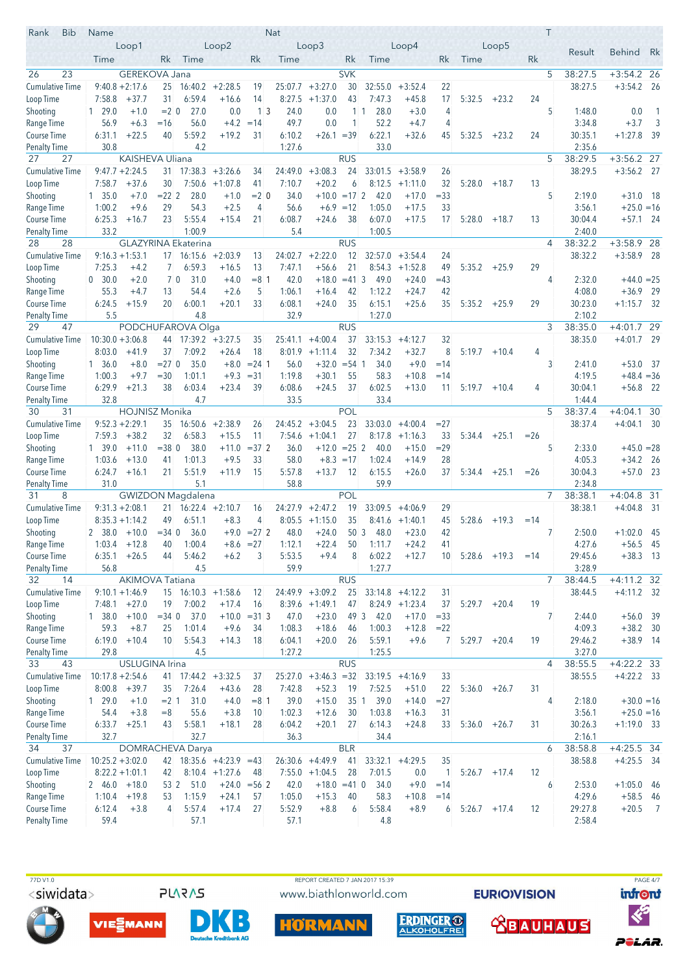| Rank<br><b>Bib</b>           | Name               |                                     |                |                            |                               |                   | <b>Nat</b>     |                          |             |                     |                    |                 |                 |         |       | Τ |                   |                           |                |
|------------------------------|--------------------|-------------------------------------|----------------|----------------------------|-------------------------------|-------------------|----------------|--------------------------|-------------|---------------------|--------------------|-----------------|-----------------|---------|-------|---|-------------------|---------------------------|----------------|
|                              |                    | Loop1                               |                |                            | Loop2                         |                   |                | Loop <sub>3</sub>        |             |                     | Loop4              |                 |                 | Loop5   |       |   | Result            | <b>Behind</b>             | Rk             |
|                              | Time               |                                     | Rk             | Time                       |                               | Rk                | Time           |                          | Rk          | Time                |                    | Rk              | Time            |         | Rk    |   |                   |                           |                |
| 23<br>26                     |                    | GEREKOVA Jana                       |                |                            |                               |                   |                |                          | <b>SVK</b>  |                     |                    |                 |                 |         |       | 5 | 38:27.5           | $+3:54.2$ 26              |                |
| <b>Cumulative Time</b>       |                    | $9:40.8 + 2:17.6$                   | 25             |                            | $16:40.2 + 2:28.5$            | 19                | 25:07.7        | $+3:27.0$                | 30          | 32:55.0             | $+3:52.4$          | 22              |                 |         |       |   | 38:27.5           | $+3:54.2$                 | - 26           |
| Loop Time                    | 7:58.8             | $+37.7$                             | 31             | 6:59.4                     | $+16.6$                       | 14                | 8:27.5         | $+1:37.0$                | 43          | 7:47.3              | $+45.8$            | 17              | 5:32.5          | $+23.2$ | 24    |   |                   |                           |                |
| Shooting                     | 129.0              | $+1.0$                              | $= 2 \ 0$      | 27.0                       | 0.0                           | 13                | 24.0           | 0.0                      |             | 28.0<br>$1 \vert 1$ | $+3.0$             | 4               |                 |         |       | 5 | 1:48.0            | 0.0                       | $\overline{1}$ |
| Range Time                   | 56.9               | $+6.3$                              | $=16$          | 56.0                       | $+4.2$                        | $=14$             | 49.7           | 0.0                      | 1           | 52.2                | $+4.7$             | 4               |                 |         |       |   | 3:34.8            | $+3.7$                    | 3              |
| Course Time                  | 6:31.1             | $+22.5$                             | 40             | 5:59.2                     | $+19.2$                       | 31                | 6:10.2         | $+26.1 = 39$             |             | 6:22.1              | $+32.6$            | 45              | 5:32.5          | $+23.2$ | 24    |   | 30:35.1           | $+1:27.8$                 | - 39           |
| <b>Penalty Time</b>          | 30.8               |                                     |                | 4.2                        |                               |                   | 1:27.6         |                          |             | 33.0                |                    |                 |                 |         |       |   | 2:35.6            |                           |                |
| 27<br>27                     |                    | <b>KAISHEVA Uliana</b>              |                |                            |                               |                   |                |                          | <b>RUS</b>  |                     |                    |                 |                 |         |       | 5 | 38:29.5           | $+3:56.2$ 27              |                |
| <b>Cumulative Time</b>       |                    | $9:47.7 + 2:24.5$                   |                | $31$ 17:38.3 +3:26.6       |                               | 34                | 24:49.0        | $+3:08.3$                | 24          |                     | $33:01.5 + 3:58.9$ | 26              |                 |         |       |   | 38:29.5           | $+3:56.2$ 27              |                |
| Loop Time                    | 7:58.7             | $+37.6$                             | 30             |                            | $7:50.6$ +1:07.8              | 41                | 7:10.7         | $+20.2$                  | 6           |                     | $8:12.5 +1:11.0$   | 32              | 5:28.0          | $+18.7$ | 13    | 5 |                   |                           |                |
| Shooting<br>Range Time       | 1, 35.0<br>1:00.2  | $+7.0$<br>$+9.6$                    | $= 222$<br>29  | 28.0<br>54.3               | $+1.0$<br>$+2.5$              | $=2$ 0<br>4       | 34.0<br>56.6   | $+10.0 = 17$ 2<br>$+6.9$ | $=12$       | 42.0<br>1:05.0      | $+17.0$<br>$+17.5$ | $=33$<br>33     |                 |         |       |   | 2:19.0<br>3:56.1  | $+31.0$<br>$+25.0 = 16$   | - 18           |
| Course Time                  | 6:25.3             | $+16.7$                             | 23             | 5:55.4                     | $+15.4$                       | 21                | 6:08.7         | $+24.6$                  | 38          | 6:07.0              | $+17.5$            | 17              | 5:28.0          | $+18.7$ | 13    |   | 30:04.4           | $+57.1$ 24                |                |
| <b>Penalty Time</b>          | 33.2               |                                     |                | 1:00.9                     |                               |                   | 5.4            |                          |             | 1:00.5              |                    |                 |                 |         |       |   | 2:40.0            |                           |                |
| 28<br>28                     |                    |                                     |                | <b>GLAZYRINA Ekaterina</b> |                               |                   |                |                          | <b>RUS</b>  |                     |                    |                 |                 |         |       | 4 | 38:32.2           | $+3:58.9$ 28              |                |
| <b>Cumulative Time</b>       |                    | $9:16.3 + 1:53.1$                   |                | $17$ 16:15.6 +2:03.9       |                               | 13                | 24:02.7        | $+2:22.0$                | 12          |                     | $32:57.0 + 3:54.4$ | 24              |                 |         |       |   | 38:32.2           | $+3:58.9$ 28              |                |
| Loop Time                    | 7:25.3             | $+4.2$                              | $\overline{7}$ | 6:59.3                     | $+16.5$                       | 13                | 7:47.1         | $+56.6$                  | 21          |                     | $8:54.3 +1:52.8$   | 49              | 5:35.2          | $+25.9$ | 29    |   |                   |                           |                |
| Shooting                     | 0 30.0             | $+2.0$                              | 70             | 31.0                       | $+4.0$                        | $= 8 \; 1$        | 42.0           | $+18.0$                  | $=41$ 3     | 49.0                | $+24.0$            | $=43$           |                 |         |       | 4 | 2:32.0            | $+44.0 = 25$              |                |
| Range Time                   | 55.3               | $+4.7$                              | 13             | 54.4                       | $+2.6$                        | 5                 | 1:06.1         | $+16.4$                  | 42          | 1:12.2              | $+24.7$            | 42              |                 |         |       |   | 4:08.0            | $+36.9$                   | - 29           |
| Course Time                  | 6:24.5             | $+15.9$                             | 20             | 6:00.1                     | $+20.1$                       | 33                | 6:08.1         | $+24.0$                  | 35          | 6:15.1              | $+25.6$            | 35              | 5:35.2          | $+25.9$ | 29    |   | 30:23.0           | $+1:15.7$ 32              |                |
| <b>Penalty Time</b>          | 5.5                |                                     |                | 4.8                        |                               |                   | 32.9           |                          |             | 1:27.0              |                    |                 |                 |         |       |   | 2:10.2            |                           |                |
| 29<br>47                     |                    |                                     |                | PODCHUFAROVA Olga          |                               |                   |                |                          | <b>RUS</b>  |                     |                    |                 |                 |         |       | 3 | 38:35.0           | $+4:01.7$ 29              |                |
| Cumulative Time              | $10:30.0 + 3:06.8$ |                                     |                | 44 17:39.2 +3:27.5         |                               | 35                | 25:41.1        | $+4:00.4$                | 37          | 33:15.3             | $+4:12.7$          | 32              |                 |         |       |   | 38:35.0           | $+4:01.7$ 29              |                |
| Loop Time                    | 8:03.0             | $+41.9$                             | 37             | 7:09.2                     | $+26.4$                       | 18                | 8:01.9         | $+1:11.4$                | 32          | 7:34.2              | $+32.7$            | 8               | 5:19.7          | $+10.4$ | 4     |   |                   |                           |                |
| Shooting                     | 1, 36.0            | $+8.0$                              | $= 270$        | 35.0                       | $+8.0$                        | $= 24 \; 1$       | 56.0           | $+32.0$                  | $= 54 \, 1$ | 34.0                | $+9.0$             | $=14$           |                 |         |       | 3 | 2:41.0            | $+53.0$                   | - 37           |
| Range Time                   | 1:00.3             | $+9.7$                              | $= 30$         | 1:01.1                     | $+9.3$                        | $= 31$            | 1:19.8         | $+30.1$                  | 55          | 58.3                | $+10.8$            | $=14$           |                 |         |       |   | 4:19.5            | $+48.4 = 36$              |                |
| Course Time                  | 6:29.9             | $+21.3$                             | 38             | 6:03.4                     | $+23.4$                       | 39                | 6:08.6         | $+24.5$                  | 37          | 6:02.5              | $+13.0$            | 11              | 5:19.7          | $+10.4$ | 4     |   | 30:04.1           | $+56.8$ 22                |                |
| <b>Penalty Time</b><br>30    | 32.8               |                                     |                | 4.7                        |                               |                   | 33.5           |                          | <b>POL</b>  | 33.4                |                    |                 |                 |         |       | 5 | 1:44.4<br>38:37.4 |                           | 30             |
| 31<br><b>Cumulative Time</b> |                    | HOJNISZ Monika<br>$9:52.3 + 2:29.1$ | 35             |                            |                               |                   | 24:45.2        | $+3:04.5$                | 23          |                     | $33:03.0 + 4:00.4$ | $=27$           |                 |         |       |   | 38:37.4           | $+4:04.1$<br>$+4:04.1$ 30 |                |
| Loop Time                    | 7:59.3             | $+38.2$                             | 32             | 6:58.3                     | $16:50.6 + 2:38.9$<br>$+15.5$ | 26<br>11          | 7:54.6         | $+1:04.1$                | 27          |                     | $8:17.8$ +1:16.3   | 33              | 5:34.4          | $+25.1$ | $=26$ |   |                   |                           |                |
| Shooting                     | 1, 39.0            | $+11.0$                             | $= 380$        | 38.0                       | $+11.0$                       | $=37.2$           | 36.0           | $+12.0$                  | $= 25 \, 2$ | 40.0                | $+15.0$            | $= 29$          |                 |         |       | 5 | 2:33.0            | $+45.0 = 28$              |                |
| Range Time                   | 1:03.6             | $+13.0$                             | 41             | 1:01.3                     | $+9.5$                        | 33                | 58.0           |                          | $+8.3 = 17$ | 1:02.4              | $+14.9$            | 28              |                 |         |       |   | 4:05.3            | $+34.2$ 26                |                |
| Course Time                  | 6:24.7             | $+16.1$                             | 21             | 5:51.9                     | $+11.9$                       | 15                | 5:57.8         | $+13.7$                  | 12          | 6:15.5              | $+26.0$            | 37              | 5:34.4          | $+25.1$ | $=26$ |   | 30:04.3           | $+57.0$ 23                |                |
| <b>Penalty Time</b>          | 31.0               |                                     |                | 5.1                        |                               |                   | 58.8           |                          |             | 59.9                |                    |                 |                 |         |       |   | 2:34.8            |                           |                |
| 31<br>8                      |                    |                                     |                | <b>GWIZDON Magdalena</b>   |                               |                   |                |                          | <b>POL</b>  |                     |                    |                 |                 |         |       | 7 | 38:38.1           | $+4:04.8$                 | 31             |
| <b>Cumulative Time</b>       |                    | $9:31.3 + 2:08.1$                   | 21             | $16:22.4 +2:10.7$          |                               | 16                | 24:27.9        | $+2:47.2$                | 19          | 33:09.5             | $+4:06.9$          | 29              |                 |         |       |   | 38:38.1           | $+4:04.8$                 | - 31           |
| Loop Time                    |                    | $8:35.3 +1:14.2$                    | 49             | 6:51.1                     | $+8.3$                        | 4                 |                | $8:05.5 +1:15.0$         | 35          |                     | $8:41.6$ +1:40.1   | 45              | 5:28.6          | $+19.3$ | $=14$ |   |                   |                           |                |
| Shooting                     | 2 38.0             | $+10.0$                             | $= 34.0$       | 36.0                       |                               | $+9.0 = 27$ 2     | 48.0           | $+24.0$                  | 50 3        | 48.0                | $+23.0$            | 42              |                 |         |       | 7 | 2:50.0            | $+1:02.0$ 45              |                |
| Range Time                   | 1:03.4             | $+12.8$                             | 40             | 1:00.4                     | $+8.6$                        | $=27$             | 1:12.1         | $+22.4$                  | 50          | 1:11.7              | $+24.2$            | 41              |                 |         |       |   | 4:27.6            | $+56.5$ 45                |                |
| Course Time                  | 6:35.1             | $+26.5$                             | 44             | 5:46.2                     | $+6.2$                        | 3                 | 5:53.5         | $+9.4$                   | 8           | 6:02.2              | $+12.7$            | 10 <sup>°</sup> | 5:28.6          | $+19.3$ | $=14$ |   | 29:45.6           | $+38.3$ 13                |                |
| Penalty Time                 | 56.8               |                                     |                | 4.5                        |                               |                   | 59.9           |                          |             | 1:27.7              |                    |                 |                 |         |       |   | 3:28.9            |                           |                |
| 14<br>32                     |                    | <b>AKIMOVA Tatiana</b>              |                |                            |                               |                   |                |                          | <b>RUS</b>  |                     |                    |                 |                 |         |       | 7 | 38:44.5           | $+4:11.2$ 32              |                |
| <b>Cumulative Time</b>       |                    | $9:10.1 + 1:46.9$                   |                | 15 16:10.3 +1:58.6         |                               | 12                |                | $24:49.9 + 3:09.2$       | 25          |                     | $33:14.8 + 4:12.2$ | 31              |                 |         |       |   | 38:44.5           | $+4:11.2$ 32              |                |
| Loop Time                    | 7:48.1             | $+27.0$                             | 19             | 7:00.2                     | $+17.4$                       | 16                |                | $8:39.6 +1:49.1$         | 47          |                     | $8:24.9$ +1:23.4   | 37              | 5:29.7          | $+20.4$ | 19    |   |                   |                           |                |
| Shooting<br>Range Time       | $1 \t38.0$<br>59.3 | $+10.0$<br>$+8.7$                   | $= 34$ 0<br>25 | 37.0<br>1:01.4             | $+10.0$<br>$+9.6$             | $= 31 \, 3$<br>34 | 47.0<br>1:08.3 | $+23.0$<br>$+18.6$       | 49 3<br>46  | 42.0<br>1:00.3      | $+17.0$<br>$+12.8$ | $= 33$<br>$=22$ |                 |         |       | 7 | 2:44.0<br>4:09.3  | $+56.0$ 39<br>$+38.2$ 30  |                |
| Course Time                  | 6:19.0             | $+10.4$                             | 10             | 5:54.3                     | $+14.3$                       | 18                | 6:04.1         | $+20.0$                  | 26          | 5:59.1              | $+9.6$             | 7               | 5:29.7          | $+20.4$ | 19    |   | 29:46.2           | $+38.9$ 14                |                |
| Penalty Time                 | 29.8               |                                     |                | 4.5                        |                               |                   | 1:27.2         |                          |             | 1:25.5              |                    |                 |                 |         |       |   | 3:27.0            |                           |                |
| 43<br>33                     |                    | <b>USLUGINA Irina</b>               |                |                            |                               |                   |                |                          | <b>RUS</b>  |                     |                    |                 |                 |         |       | 4 | 38:55.5           | $+4:22.2$ 33              |                |
| <b>Cumulative Time</b>       | $10:17.8 + 2:54.6$ |                                     |                | 41 17:44.2 +3:32.5         |                               | 37                | 25:27.0        | $+3:46.3 = 32$           |             | 33:19.5             | $+4:16.9$          | 33              |                 |         |       |   | 38:55.5           | $+4:22.2$ 33              |                |
| Loop Time                    | 8:00.8             | $+39.7$                             | 35             | 7:26.4                     | $+43.6$                       | 28                | 7:42.8         | $+52.3$                  | 19          | 7:52.5              | $+51.0$            | 22              | 5:36.0          | $+26.7$ | 31    |   |                   |                           |                |
| Shooting                     | 129.0              | $+1.0$                              | $= 2 \, 1$     | 31.0                       | $+4.0$                        | $= 8 \; 1$        | 39.0           | $+15.0$                  |             | 35 1 39.0           | $+14.0$            | $=27$           |                 |         |       | 4 | 2:18.0            | $+30.0 = 16$              |                |
| Range Time                   | 54.4               | $+3.8$                              | $= 8$          | 55.6                       | $+3.8$                        | 10 <sup>°</sup>   | 1:02.3         | $+12.6$                  | 30          | 1:03.8              | $+16.3$            | 31              |                 |         |       |   | 3:56.1            | $+25.0 = 16$              |                |
| Course Time                  | 6:33.7             | $+25.1$                             | 43             | 5:58.1                     | $+18.1$                       | 28                | 6:04.2         | $+20.1$                  | 27          | 6:14.3              | $+24.8$            | 33              | $5:36.0 + 26.7$ |         | 31    |   | 30:26.3           | $+1:19.0$ 33              |                |
| <b>Penalty Time</b>          | 32.7               |                                     |                | 32.7                       |                               |                   | 36.3           |                          |             | 34.4                |                    |                 |                 |         |       |   | 2:16.1            |                           |                |
| 37<br>34                     |                    |                                     |                | DOMRACHEVA Darya           |                               |                   |                |                          | <b>BLR</b>  |                     |                    |                 |                 |         |       | 6 | 38:58.8           | $+4:25.5$ 34              |                |
| <b>Cumulative Time</b>       | $10:25.2 + 3:02.0$ |                                     |                | 42 18:35.6 $+4:23.9 = 43$  |                               |                   |                | $26:30.6 +4:49.9$        | 41          |                     | $33:32.1 +4:29.5$  | 35              |                 |         |       |   | 38:58.8           | $+4:25.5$ 34              |                |
| Loop Time                    |                    | $8:22.2 + 1:01.1$                   | 42             |                            | $8:10.4$ +1:27.6              | 48                |                | $7:55.0 +1:04.5$         | 28          | 7:01.5              | 0.0                | $\overline{1}$  | 5:26.7          | $+17.4$ | 12    |   |                   |                           |                |
| Shooting                     | 2 46.0             | $+18.0$                             |                | 53 2 51.0                  |                               | $+24.0 = 56$ 2    | 42.0           | $+18.0 = 41$ 0           |             | 34.0                | $+9.0$             | $=14$           |                 |         |       | 6 | 2:53.0            | $+1:05.0$ 46              |                |
| Range Time                   | 1:10.4             | $+19.8$                             | 53             | 1:15.9                     | $+24.1$                       | 57                | 1:05.0         | $+15.3$                  | 40          | 58.3                | $+10.8$            | $=14$           |                 |         |       |   | 4:29.6            | $+58.5$ 46                |                |
| Course Time                  | 6:12.4             | $+3.8$                              | 4              | 5:57.4                     | $+17.4$                       | 27                | 5:52.9         | $+8.8$                   | 6           | 5:58.4              | $+8.9$             | 6               | 5:26.7          | $+17.4$ | 12    |   | 29:27.8           | $+20.5$                   | $\overline{7}$ |
| <b>Penalty Time</b>          | 59.4               |                                     |                | 57.1                       |                               |                   | 57.1           |                          |             | 4.8                 |                    |                 |                 |         |       |   | 2:58.4            |                           |                |







www.biathlonworld.com



**EURIOVISION** 

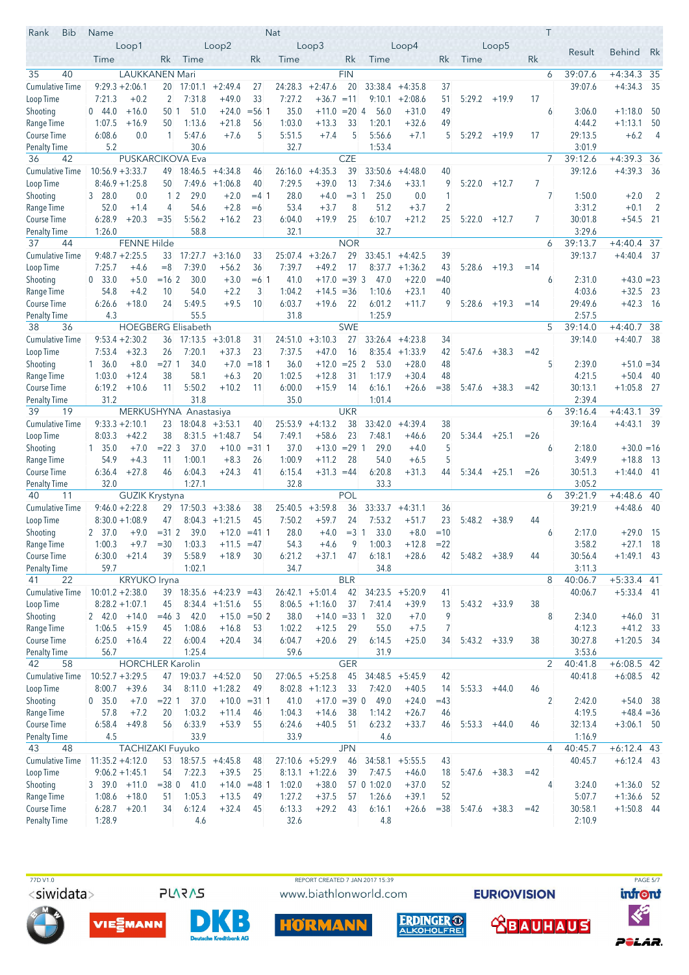| Rank<br><b>Bib</b>                 | Name                       |                                            |                |                                                 |                      |                | Nat               |                      |             |               |                                |          |                 |                |        | Τ |                    |                           |                |
|------------------------------------|----------------------------|--------------------------------------------|----------------|-------------------------------------------------|----------------------|----------------|-------------------|----------------------|-------------|---------------|--------------------------------|----------|-----------------|----------------|--------|---|--------------------|---------------------------|----------------|
|                                    |                            | Loop1                                      |                |                                                 | Loop2                |                |                   | Loop3                |             |               | Loop4                          |          |                 | Loop5          |        |   | Result             | <b>Behind</b>             | Rk             |
|                                    | Time                       |                                            | Rk             | Time                                            |                      | Rk             | Time              |                      | Rk          | Time          |                                | Rk       | Time            |                | Rk     |   |                    |                           |                |
| 35<br>40                           |                            | <b>LAUKKANEN Mari</b>                      |                |                                                 |                      |                |                   |                      | <b>FIN</b>  |               |                                |          |                 |                |        | 6 | 39:07.6            | $+4:34.3$ 35              |                |
| Cumulative Time                    |                            | $9:29.3 + 2:06.1$                          | 20             | 17:01.1                                         | $+2:49.4$            | 27             | 24:28.3           | $+2:47.6$            | 20          | 33:38.4       | $+4:35.8$                      | 37       |                 |                |        |   | 39:07.6            | $+4:34.3$                 | -35            |
| Loop Time                          | 7:21.3                     | $+0.2$                                     | $\overline{2}$ | 7:31.8                                          | $+49.0$              | 33             | 7:27.2            | $+36.7$              | $=11$       | 9:10.1        | $+2:08.6$                      | 51       | 5:29.2          | $+19.9$        | 17     |   |                    |                           |                |
| Shooting                           | 0.44.0                     | $+16.0$                                    | 50 1           | 51.0                                            | $+24.0$              | $= 56.1$       | 35.0              | $+11.0 = 20$ 4       |             | 56.0          | $+31.0$                        | 49       |                 |                |        | 6 | 3:06.0             | $+1:18.0$                 | -50            |
| Range Time                         | 1:07.5                     | $+16.9$                                    | 50             | 1:13.6                                          | $+21.8$              | 56             | 1:03.0            | $+13.3$              | 33          | 1:20.1        | $+32.6$                        | 49       |                 |                |        |   | 4:44.2             | $+1:13.1$                 | 50             |
| Course Time                        | 6:08.6                     | 0.0                                        | 1              | 5:47.6                                          | $+7.6$               | 5              | 5:51.5            | $+7.4$               | 5           | 5:56.6        | $+7.1$                         | 5        | $5:29.2 + 19.9$ |                | 17     |   | 29:13.5            | $+6.2$                    | - 4            |
| <b>Penalty Time</b><br>36          | 5.2                        |                                            |                | 30.6                                            |                      |                | 32.7              |                      | <b>CZE</b>  | 1:53.4        |                                |          |                 |                |        | 7 | 3:01.9             |                           |                |
| 42<br><b>Cumulative Time</b>       | $10:56.9 + 3:33.7$         |                                            |                | <b>PUSKARCIKOVA Eva</b><br>$49$ 18:46.5 +4:34.8 |                      | 46             | 26:16.0           | $+4:35.3$            | 39          | 33:50.6       | $+4:48.0$                      | 40       |                 |                |        |   | 39:12.6<br>39:12.6 | $+4:39.3$ 36<br>$+4:39.3$ | - 36           |
| Loop Time                          |                            | $8:46.9 + 1:25.8$                          | 50             | 7:49.6                                          | $+1:06.8$            | 40             | 7:29.5            | $+39.0$              | 13          | 7:34.6        | $+33.1$                        | 9        | 5:22.0          | $+12.7$        | 7      |   |                    |                           |                |
| Shooting                           | 328.0                      | 0.0                                        | $1\vert 2$     | 29.0                                            | $+2.0$               | $= 4 \; 1$     | 28.0              | $+4.0$               | $=31$       | 25.0          | 0.0                            | 1        |                 |                |        | 7 | 1:50.0             | $+2.0$                    | $\overline{2}$ |
| Range Time                         | 52.0                       | $+1.4$                                     | 4              | 54.6                                            | $+2.8$               | $=6$           | 53.4              | $+3.7$               | 8           | 51.2          | $+3.7$                         | 2        |                 |                |        |   | 3:31.2             | $+0.1$                    | $\overline{2}$ |
| Course Time                        | 6:28.9                     | $+20.3$                                    | $= 35$         | 5:56.2                                          | $+16.2$              | 23             | 6:04.0            | $+19.9$              | 25          | 6:10.7        | $+21.2$                        | 25       | 5:22.0          | $+12.7$        | 7      |   | 30:01.8            | $+54.5$ 21                |                |
| <b>Penalty Time</b>                | 1:26.0                     |                                            |                | 58.8                                            |                      |                | 32.1              |                      |             | 32.7          |                                |          |                 |                |        |   | 3:29.6             |                           |                |
| 37<br>44                           |                            | <b>FENNE Hilde</b>                         |                |                                                 |                      |                |                   |                      | <b>NOR</b>  |               |                                |          |                 |                |        | 6 | 39:13.7            | $+4:40.4$ 37              |                |
| <b>Cumulative Time</b>             |                            | $9:48.7 + 2:25.5$                          |                | $33 \quad 17:27.7 \quad +3:16.0$                |                      | 33             | 25:07.4           | $+3:26.7$            | 29          | 33:45.1       | $+4:42.5$                      | 39       |                 |                |        |   | 39:13.7            | $+4:40.4$                 | - 37           |
| Loop Time                          | 7:25.7                     | $+4.6$                                     | $=8$           | 7:39.0                                          | $+56.2$              | 36             | 7:39.7            | $+49.2$              | 17          | 8:37.7        | $+1:36.2$                      | 43       | 5:28.6          | $+19.3$        | $=14$  |   |                    |                           |                |
| Shooting                           | 0, 33.0                    | $+5.0$                                     | $= 162$        | 30.0                                            | $+3.0$               | $=6.1$         | 41.0              | $+17.0$              | $=39.3$     | 47.0          | $+22.0$                        | $=40$    |                 |                |        | 6 | 2:31.0             | $+43.0 = 23$              |                |
| Range Time                         | 54.8                       | $+4.2$                                     | 10             | 54.0                                            | $+2.2$               | 3              | 1:04.2            | $+14.5 = 36$         |             | 1:10.6        | $+23.1$                        | 40       |                 |                |        |   | 4:03.6             | $+32.5$                   | - 23           |
| Course Time                        | 6:26.6                     | $+18.0$                                    | 24             | 5:49.5                                          | $+9.5$               | 10             | 6:03.7            | $+19.6$              | 22          | 6:01.2        | $+11.7$                        | 9        | 5:28.6          | $+19.3$        | $=14$  |   | 29:49.6            | $+42.3$                   | - 16           |
| Penalty Time                       | 4.3                        |                                            |                | 55.5                                            |                      |                | 31.8              |                      |             | 1:25.9        |                                |          |                 |                |        |   | 2:57.5             |                           |                |
| 38<br>36                           |                            |                                            |                | <b>HOEGBERG Elisabeth</b>                       |                      |                |                   |                      | <b>SWE</b>  |               |                                |          |                 |                |        | 5 | 39:14.0            | $+4:40.7$                 | 38             |
| Cumulative Time<br>Loop Time       | 7:53.4                     | $9:53.4 + 2:30.2$<br>$+32.3$               | 26             | 36 17:13.5<br>7:20.1                            | $+3:01.8$<br>$+37.3$ | 31<br>23       | 24:51.0<br>7:37.5 | $+3:10.3$<br>$+47.0$ | 27<br>16    | 8:35.4        | $33:26.4 +4:23.8$<br>$+1:33.9$ | 34<br>42 | 5:47.6          | $+38.3$        | $=42$  |   | 39:14.0            | $+4:40.7$ 38              |                |
| Shooting                           | 1, 36.0                    | $+8.0$                                     | $= 271$        | 34.0                                            | $+7.0$               | $=18$ 1        | 36.0              | $+12.0$              | $= 25 \, 2$ | 53.0          | $+28.0$                        | 48       |                 |                |        | 5 | 2:39.0             | $+51.0 = 34$              |                |
| Range Time                         | 1:03.0                     | $+12.4$                                    | 38             | 58.1                                            | $+6.3$               | 20             | 1:02.5            | $+12.8$              | 31          | 1:17.9        | $+30.4$                        | 48       |                 |                |        |   | 4:21.5             | $+50.4$                   | - 40           |
| Course Time                        | 6:19.2                     | $+10.6$                                    | 11             | 5:50.2                                          | $+10.2$              | 11             | 6:00.0            | $+15.9$              | 14          | 6:16.1        | $+26.6$                        | $= 38$   | 5:47.6          | $+38.3$        | $=42$  |   | 30:13.1            | $+1:05.8$ 27              |                |
| Penalty Time                       | 31.2                       |                                            |                | 31.8                                            |                      |                | 35.0              |                      |             | 1:01.4        |                                |          |                 |                |        |   | 2:39.4             |                           |                |
| 39<br>19                           |                            | MERKUSHYNA                                 |                | Anastasiya                                      |                      |                |                   |                      | <b>UKR</b>  |               |                                |          |                 |                |        | 6 | 39:16.4            | $+4:43.1$                 | 39             |
| <b>Cumulative Time</b>             |                            | $9:33.3 + 2:10.1$                          | 23             |                                                 | $18:04.8$ +3:53.1    | 40             | 25:53.9           | $+4:13.2$            | 38          | 33:42.0       | $+4:39.4$                      | 38       |                 |                |        |   | 39:16.4            | $+4:43.1$ 39              |                |
| Loop Time                          | 8:03.3                     | $+42.2$                                    | 38             |                                                 | $8:31.5 +1:48.7$     | 54             | 7:49.1            | $+58.6$              | 23          | 7:48.1        | $+46.6$                        | 20       |                 | $5:34.4$ +25.1 | $=26$  |   |                    |                           |                |
| Shooting                           | 1, 35.0                    | $+7.0$                                     | $= 22 \, 3$    | 37.0                                            | $+10.0$              | $= 3111$       | 37.0              | $+13.0$              | $= 291$     | 29.0          | $+4.0$                         | 5        |                 |                |        | 6 | 2:18.0             | $+30.0 = 16$              |                |
| Range Time                         | 54.9                       | $+4.3$                                     | 11             | 1:00.1                                          | $+8.3$               | 26             | 1:00.9            | $+11.2$              | 28          | 54.0          | $+6.5$                         | 5        |                 |                |        |   | 3:49.9             | $+18.8$                   | - 13           |
| Course Time                        | 6:36.4                     | $+27.8$                                    | 46             | 6:04.3                                          | $+24.3$              | 41             | 6:15.4            | $+31.3 = 44$         |             | 6:20.8        | $+31.3$                        | 44       | $5:34.4 +25.1$  |                | $= 26$ |   | 30:51.3            | $+1:44.0$ 41              |                |
| <b>Penalty Time</b><br>40<br>11    | 32.0                       |                                            |                | 1:27.1                                          |                      |                | 32.8              |                      | <b>POL</b>  | 33.3          |                                |          |                 |                |        | 6 | 3:05.2<br>39:21.9  | $+4:48.6$                 | 40             |
| <b>Cumulative Time</b>             |                            | <b>GUZIK Krystyna</b><br>$9:46.0 + 2:22.8$ |                | 29 17:50.3 +3:38.6                              |                      | 38             | 25:40.5           | $+3:59.8$            | 36          | 33:33.7       | $+4:31.1$                      | 36       |                 |                |        |   | 39:21.9            | $+4:48.6$                 | - 40           |
| Loop Time                          |                            | $8:30.0 + 1:08.9$                          | 47             | 8:04.3                                          | $+1:21.5$            | 45             | 7:50.2            | $+59.7$              | 24          | 7:53.2        | $+51.7$                        | 23       | 5:48.2          | $+38.9$        | 44     |   |                    |                           |                |
| Shooting                           | 2 37.0                     | $+9.0$                                     | $= 31 \, 2$    | 39.0                                            | $+12.0$              | $= 411$        | 28.0              | $+4.0$               | $=31$       | 33.0          | $+8.0$                         | $=10$    |                 |                |        | 6 | 2:17.0             | $+29.0$ 15                |                |
| Range Time                         | 1:00.3                     | $+9.7$                                     | $=30$          | 1:03.3                                          | $+11.5$              | $=47$          | 54.3              | $+4.6$               | 9           | 1:00.3        | $+12.8$                        | $= 22$   |                 |                |        |   | 3:58.2             | $+27.1$                   | 18             |
| Course Time                        |                            | $6:30.0 +21.4$                             | 39             | 5:58.9                                          | $+18.9$              | 30             | 6:21.2            | $+37.1$              | 47          | 6:18.1        | $+28.6$                        | 42       | $5:48.2 + 38.9$ |                | 44     |   | 30:56.4            | $+1:49.1$ 43              |                |
| Penalty Time                       | 59.7                       |                                            |                | 1:02.1                                          |                      |                | 34.7              |                      |             | 34.8          |                                |          |                 |                |        |   | 3:11.3             |                           |                |
| 22<br>41                           |                            | <b>KRYUKO Iryna</b>                        |                |                                                 |                      |                |                   |                      | <b>BLR</b>  |               |                                |          |                 |                |        | 8 | 40:06.7            | $+5:33.4$ 41              |                |
| <b>Cumulative Time</b>             | $10:01.2 + 2:38.0$         |                                            |                | $39$ 18:35.6 +4:23.9 =43                        |                      |                | 26:42.1           | $+5:01.4$            | 42          | 34:23.5       | $+5:20.9$                      | 41       |                 |                |        |   | 40:06.7            | $+5:33.4$ 41              |                |
| Loop Time                          |                            | $8:28.2 + 1:07.1$                          | 45             |                                                 | $8:34.4 +1:51.6$     | 55             |                   | $8:06.5 +1:16.0$     | 37          | 7:41.4        | $+39.9$                        | 13       | $5:43.2 +33.9$  |                | 38     |   |                    |                           |                |
| Shooting                           | $2 \quad 42.0 \quad +14.0$ |                                            | $=463$         | 42.0                                            |                      | $+15.0 = 502$  | 38.0              | $+14.0 = 33$ 1       |             | 32.0          | $+7.0$                         | 9        |                 |                |        | 8 | 2:34.0             | $+46.0$ 31                |                |
| Range Time                         |                            | $1:06.5$ +15.9                             | 45             | 1:08.6                                          | $+16.8$              | 53             | 1:02.2            | $+12.5$              | 29          | 55.0          | $+7.5$                         | 7        |                 |                |        |   | 4:12.3             | $+41.2$ 33                |                |
| Course Time                        | 6:25.0                     | $+16.4$                                    | 22             | 6:00.4                                          | $+20.4$              | 34             | 6:04.7            | $+20.6$              | 29          | 6:14.5        | $+25.0$                        | 34       | $5:43.2 +33.9$  |                | 38     |   | 30:27.8            | $+1:20.5$ 34              |                |
| Penalty Time<br>58<br>42           | 56.7                       | <b>HORCHLER Karolin</b>                    |                | 1:25.4                                          |                      |                | 59.6              |                      | <b>GER</b>  | 31.9          |                                |          |                 |                |        | 2 | 3:53.6<br>40:41.8  | $+6:08.5$ 42              |                |
| <b>Cumulative Time</b>             |                            | $10:52.7 + 3:29.5$                         |                | 47 19:03.7 +4:52.0                              |                      | 50             |                   | $27:06.5$ +5:25.8    | 45          | 34:48.5       | $+5:45.9$                      | 42       |                 |                |        |   | 40:41.8            | $+6:08.5$ 42              |                |
| Loop Time                          | 8:00.7                     | $+39.6$                                    | 34             | 8:11.0                                          | $+1:28.2$            | 49             |                   | $8:02.8$ +1:12.3     | 33          | 7:42.0        | $+40.5$                        | 14       | 5:53.3          | $+44.0$        | 46     |   |                    |                           |                |
| Shooting                           | 0 35.0                     | $+7.0$                                     |                | $= 22 \ 1 \ 37.0$                               |                      | $+10.0 = 31$ 1 | 41.0              | $+17.0 = 39$ 0       |             | 49.0          | $+24.0$                        | $=43$    |                 |                |        | 2 | 2:42.0             | $+54.0$ 38                |                |
| Range Time                         | 57.8                       | $+7.2$                                     | 20             | 1:03.2                                          | $+11.4$              | 46             | 1:04.3            | $+14.6$              | 38          | 1:14.2        | $+26.7$                        | 46       |                 |                |        |   | 4:19.5             | $+48.4 = 36$              |                |
| Course Time                        | 6:58.4                     | $+49.8$                                    | 56             | 6:33.9                                          | $+53.9$              | 55             | 6:24.6            | $+40.5$              | 51          | 6:23.2        | $+33.7$                        | 46       | 5:53.3          | $+44.0$        | 46     |   | 32:13.4            | $+3:06.1$ 50              |                |
| <b>Penalty Time</b>                | 4.5                        |                                            |                | 33.9                                            |                      |                | 33.9              |                      |             | 4.6           |                                |          |                 |                |        |   | 1:16.9             |                           |                |
| 48<br>43                           |                            | TACHIZAKI Fuyuko                           |                |                                                 |                      |                |                   |                      | <b>JPN</b>  |               |                                |          |                 |                |        | 4 | 40:45.7            | $+6:12.4$ 43              |                |
| <b>Cumulative Time</b>             | $11:35.2 +4:12.0$          |                                            |                | $53$ 18:57.5 +4:45.8                            |                      | 48             |                   | $27:10.6$ +5:29.9    | 46          | 34:58.1       | $+5:55.5$                      | 43       |                 |                |        |   | 40:45.7            | $+6:12.4$ 43              |                |
| Loop Time                          |                            | $9:06.2 + 1:45.1$                          | 54             | 7:22.3                                          | $+39.5$              | 25             |                   | $8:13.1 + 1:22.6$    | 39          | 7:47.5        | $+46.0$                        | 18       |                 | $5:47.6$ +38.3 | $=42$  |   |                    |                           |                |
| Shooting                           | $3\quad 39.0 \quad +11.0$  |                                            | $= 38$ 0       | 41.0                                            |                      | $+14.0 = 481$  | 1:02.0            | $+38.0$              |             | 57 0 1:02.0   | $+37.0$                        | 52       |                 |                |        | 4 | 3:24.0             | $+1:36.0$ 52              |                |
| Range Time                         | 1:08.6                     | $+18.0$                                    | 51             | 1:05.3                                          | $+13.5$              | 49             | 1:27.2            | $+37.5$              | 57          | 1:26.6        | $+39.1$                        | 52       |                 |                |        |   | 5:07.7             | $+1:36.6$ 52              |                |
| Course Time<br><b>Penalty Time</b> | 6:28.7                     | $+20.1$                                    | 34             | 6:12.4<br>4.6                                   | $+32.4$              | 45             | 6:13.3            | $+29.2$              | 43          | 6:16.1<br>4.8 | $+26.6$                        | $= 38$   |                 | $5:47.6$ +38.3 | $=42$  |   | 30:58.1<br>2:10.9  | $+1:50.8$ 44              |                |
|                                    | 1:28.9                     |                                            |                |                                                 |                      |                | 32.6              |                      |             |               |                                |          |                 |                |        |   |                    |                           |                |







REPORT CREATED 7 JAN 2017 15:39

www.biathlonworld.com





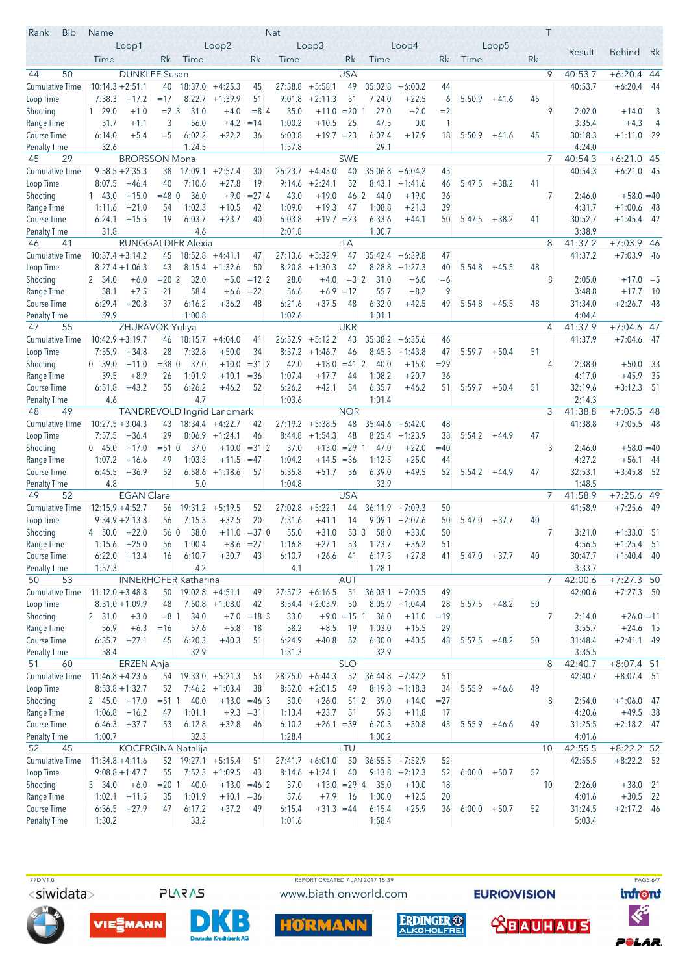| Rank<br><b>Bib</b>                  | Name               |                                           |             |                             |                         |                | Nat            |                        |                  |                  |                    |          |                 |         |    | T              |                    |                              |                |
|-------------------------------------|--------------------|-------------------------------------------|-------------|-----------------------------|-------------------------|----------------|----------------|------------------------|------------------|------------------|--------------------|----------|-----------------|---------|----|----------------|--------------------|------------------------------|----------------|
|                                     |                    | Loop1                                     |             |                             | Loop2                   |                |                | Loop3                  |                  |                  | Loop4              |          |                 | Loop5   |    |                | Result             | <b>Behind</b>                | Rk             |
|                                     | Time               |                                           | Rk          | Time                        |                         | Rk             | Time           |                        | Rk               | Time             |                    | Rk       | Time            |         | Rk |                |                    |                              |                |
| 50<br>44                            |                    | <b>DUNKLEE Susan</b>                      |             |                             |                         |                |                |                        | <b>USA</b>       |                  |                    |          |                 |         |    | 9              | 40:53.7            | $+6:20.4$ 44                 |                |
| <b>Cumulative Time</b>              | $10:14.3 + 2:51.1$ |                                           | 40          |                             | $18:37.0 +4:25.3$       | 45             | 27:38.8        | $+5:58.1$              | 49               | 35:02.8          | $+6:00.2$          | 44       |                 |         |    |                | 40:53.7            | $+6:20.4$                    | -44            |
| Loop Time                           | 7:38.3             | $+17.2$                                   | $=17$       | 8:22.7                      | $+1:39.9$               | 51             | 9:01.8         | $+2:11.3$              | 51               | 7:24.0           | $+22.5$            | 6        | 5:50.9          | $+41.6$ | 45 |                |                    |                              |                |
| Shooting                            | 129.0              | $+1.0$                                    | $= 2 \, 3$  | 31.0                        | $+4.0$                  | $= 84$         | 35.0           | $+11.0 = 20$ 1         |                  | 27.0             | $+2.0$             | $=2$     |                 |         |    | 9              | 2:02.0             | $+14.0$                      | 3              |
| Range Time                          | 51.7               | $+1.1$                                    | 3           | 56.0                        | $+4.2$                  | $=14$          | 1:00.2         | $+10.5$                | 25               | 47.5             | 0.0                | 1        |                 |         |    |                | 3:35.4             | $+4.3$                       | $\overline{4}$ |
| Course Time                         | 6:14.0             | $+5.4$                                    | $=$ 5       | 6:02.2                      | $+22.2$                 | 36             | 6:03.8         | $+19.7 = 23$           |                  | 6:07.4           | $+17.9$            | 18       | 5:50.9          | +41.6   | 45 |                | 30:18.3            | $+1:11.0$ 29                 |                |
| <b>Penalty Time</b>                 | 32.6               |                                           |             | 1:24.5                      |                         |                | 1:57.8         |                        |                  | 29.1             |                    |          |                 |         |    |                | 4:24.0             |                              |                |
| 45<br>29                            |                    | <b>BRORSSON Mona</b><br>$9:58.5 + 2:35.3$ |             | 38 17:09.1                  | $+2:57.4$               | 30             | 26:23.7        | $+4:43.0$              | <b>SWE</b><br>40 | 35:06.8          | $+6:04.2$          | 45       |                 |         |    | 7              | 40:54.3<br>40:54.3 | +6:21.0 45<br>$+6:21.0$ 45   |                |
| <b>Cumulative Time</b><br>Loop Time | 8:07.5             | $+46.4$                                   | 40          | 7:10.6                      | $+27.8$                 | 19             | 9:14.6         | $+2:24.1$              | 52               | 8:43.1           | $+1:41.6$          | 46       | 5:47.5          | $+38.2$ | 41 |                |                    |                              |                |
| Shooting                            | 143.0              | $+15.0$                                   | $= 48$ 0    | 36.0                        | $+9.0$                  | $= 274$        | 43.0           | $+19.0$                | 46 2             | 44.0             | $+19.0$            | 36       |                 |         |    | 7              | 2:46.0             | $+58.0 = 40$                 |                |
| Range Time                          | 1:11.6             | $+21.0$                                   | 54          | 1:02.3                      | $+10.5$                 | 42             | 1:09.0         | $+19.3$                | 47               | 1:08.8           | $+21.3$            | 39       |                 |         |    |                | 4:31.7             | $+1:00.6$                    | - 48           |
| Course Time                         | 6:24.1             | $+15.5$                                   | 19          | 6:03.7                      | $+23.7$                 | 40             | 6:03.8         | $+19.7 = 23$           |                  | 6:33.6           | $+44.1$            | 50       | 5:47.5          | $+38.2$ | 41 |                | 30:52.7            | $+1:45.4$                    | - 42           |
| <b>Penalty Time</b>                 | 31.8               |                                           |             | 4.6                         |                         |                | 2:01.8         |                        |                  | 1:00.7           |                    |          |                 |         |    |                | 3:38.9             |                              |                |
| 46<br>41                            |                    |                                           |             | <b>RUNGGALDIER Alexia</b>   |                         |                |                |                        | <b>ITA</b>       |                  |                    |          |                 |         |    | 8              | 41:37.2            | +7:03.9 46                   |                |
| <b>Cumulative Time</b>              | $10:37.4 + 3:14.2$ |                                           |             | $45$ 18:52.8 +4:41.1        |                         | 47             | 27:13.6        | $+5:32.9$              | 47               | 35:42.4          | $+6:39.8$          | 47       |                 |         |    |                | 41:37.2            | $+7:03.9$ 46                 |                |
| Loop Time                           |                    | $8:27.4 + 1:06.3$                         | 43          |                             | $8:15.4$ +1:32.6        | 50             | 8:20.8         | $+1:30.3$              | 42               |                  | $8:28.8$ +1:27.3   | 40       | 5:54.8          | $+45.5$ | 48 |                |                    |                              |                |
| Shooting                            | 2 34.0             | $+6.0$                                    | $= 202$     | 32.0                        | $+5.0$                  | $=12$ 2        | 28.0           | $+4.0$                 | $=32$            | 31.0             | $+6.0$             | $=6$     |                 |         |    | 8              | 2:05.0             | $+17.0 = 5$                  |                |
| Range Time                          | 58.1               | $+7.5$                                    | 21          | 58.4                        | $+6.6 = 22$             |                | 56.6           | $+6.9$                 | $=12$            | 55.7             | $+8.2$             | 9        |                 |         |    |                | 3:48.8             | $+17.7$                      | - 10           |
| Course Time                         | 6:29.4             | $+20.8$                                   | 37          | 6:16.2                      | $+36.2$                 | 48             | 6:21.6         | $+37.5$                | 48               | 6:32.0           | $+42.5$            | 49       | 5:54.8          | $+45.5$ | 48 |                | 31:34.0            | $+2:26.7$                    | -48            |
| <b>Penalty Time</b><br>47           | 59.9               |                                           |             | 1:00.8                      |                         |                | 1:02.6         |                        | <b>UKR</b>       | 1:01.1           |                    |          |                 |         |    | $\overline{4}$ | 4:04.4             |                              |                |
| 55                                  | $10:42.9 + 3:19.7$ | ZHURAVOK Yuliya                           |             | $46$ 18:15.7 $+4:04.0$      |                         | 41             | 26:52.9        | $+5:12.2$              | 43               |                  | $35:38.2 + 6:35.6$ |          |                 |         |    |                | 41:37.9<br>41:37.9 | $+7:04.6$ 47<br>$+7:04.6$ 47 |                |
| Cumulative Time<br>Loop Time        | 7:55.9             | $+34.8$                                   | 28          | 7:32.8                      | $+50.0$                 | 34             | 8:37.2         | $+1:46.7$              | 46               | 8:45.3           | $+1:43.8$          | 46<br>47 | 5:59.7          | $+50.4$ | 51 |                |                    |                              |                |
| Shooting                            | 0, 39.0            | $+11.0$                                   | $= 380$     | 37.0                        | $+10.0$                 | $= 312$        | 42.0           | $+18.0$                | $= 412$          | 40.0             | $+15.0$            | $= 29$   |                 |         |    | 4              | 2:38.0             | $+50.0$                      | 33             |
| Range Time                          | 59.5               | $+8.9$                                    | 26          | 1:01.9                      | $+10.1$                 | $=$ 36         | 1:07.4         | $+17.7$                | 44               | 1:08.2           | $+20.7$            | 36       |                 |         |    |                | 4:17.0             | $+45.9$                      | 35             |
| Course Time                         | 6:51.8             | $+43.2$                                   | 55          | 6:26.2                      | $+46.2$                 | 52             | 6:26.2         | $+42.1$                | 54               | 6:35.7           | $+46.2$            | 51       | 5:59.7          | $+50.4$ | 51 |                | 32:19.6            | $+3:12.3$                    | - 51           |
| Penalty Time                        | 4.6                |                                           |             | 4.7                         |                         |                | 1:03.6         |                        |                  | 1:01.4           |                    |          |                 |         |    |                | 2:14.3             |                              |                |
| 48<br>49                            |                    |                                           |             | TANDREVOLD Ingrid Landmark  |                         |                |                |                        | <b>NOR</b>       |                  |                    |          |                 |         |    | 3              | 41:38.8            | $+7:05.5$ 48                 |                |
| <b>Cumulative Time</b>              | $10:27.5 + 3:04.3$ |                                           |             | $43$ 18:34.4 +4:22.7        |                         | 42             |                | $27:19.2 +5:38.5$      | 48               |                  | $35:44.6 + 6:42.0$ | 48       |                 |         |    |                | 41:38.8            | $+7:05.5$ 48                 |                |
| Loop Time                           | 7:57.5             | $+36.4$                                   | 29          |                             | $8:06.9$ +1:24.1        | 46             | 8:44.8         | $+1:54.3$              | 48               |                  | $8:25.4$ +1:23.9   | 38       | 5:54.2          | $+44.9$ | 47 |                |                    |                              |                |
| Shooting                            | 045.0              | $+17.0$                                   | $= 51$ 0    | 37.0                        | $+10.0$                 | $= 31 \, 2$    | 37.0           | $+13.0$                | $= 29 \, 1$      | 47.0             | $+22.0$            | $=40$    |                 |         |    | 3              | 2:46.0             | $+58.0 = 40$                 |                |
| Range Time                          | 1:07.2             | $+16.6$                                   | 49          | 1:03.3                      | $+11.5$                 | $=47$          | 1:04.2         | $+14.5 = 36$           |                  | 1:12.5           | $+25.0$            | 44       |                 |         |    |                | 4:27.2             | $+56.1$ 44                   |                |
| Course Time                         | 6:45.5             | $+36.9$                                   | 52          | 6:58.6                      | $+1:18.6$               | 57             | 6:35.8         | $+51.7$                | 56               | 6:39.0           | $+49.5$            | 52       | 5:54.2          | $+44.9$ | 47 |                | 32:53.1            | $+3:45.8$ 52                 |                |
| <b>Penalty Time</b><br>49<br>52     | 4.8                | <b>EGAN Clare</b>                         |             | 5.0                         |                         |                | 1:04.8         |                        | <b>USA</b>       | 33.9             |                    |          |                 |         |    | 7              | 1:48.5<br>41:58.9  | $+7:25.6$                    | 49             |
| <b>Cumulative Time</b>              | $12:15.9 + 4:52.7$ |                                           |             | $56$ 19:31.2 +5:19.5        |                         | 52             | 27:02.8        | $+5:22.1$              | 44               | 36:11.9          | $+7:09.3$          | 50       |                 |         |    |                | 41:58.9            | $+7:25.6$ 49                 |                |
| Loop Time                           |                    | $9:34.9 + 2:13.8$                         | 56          | 7:15.3                      | $+32.5$                 | 20             | 7:31.6         | $+41.1$                | 14               | 9:09.1           | $+2:07.6$          | 50       | 5:47.0          | $+37.7$ | 40 |                |                    |                              |                |
| Shooting                            | 4 50.0             | $+22.0$                                   | 56 0        | 38.0                        |                         | $+11.0 = 37$ 0 | 55.0           | $+31.0$                | 53 3             | 58.0             | $+33.0$            | 50       |                 |         |    | 7              | 3:21.0             | $+1:33.0$ 51                 |                |
| Range Time                          |                    | $1:15.6 + 25.0$                           | 56          | 1:00.4                      | $+8.6$                  | $=27$          | 1:16.8         | $+27.1$                | 53               | 1:23.7           | $+36.2$            | 51       |                 |         |    |                | 4:56.5             | $+1:25.4$ 51                 |                |
| Course Time                         |                    | $6:22.0$ +13.4                            | 16          | 6:10.7                      | $+30.7$                 | 43             | 6:10.7         | $+26.6$                | - 41             | 6:17.3           | $+27.8$            | 41       | $5:47.0 +37.7$  |         | 40 |                | 30:47.7            | $+1:40.4$ 40                 |                |
| Penalty Time                        | 1:57.3             |                                           |             | 4.2                         |                         |                | 4.1            |                        |                  | 1:28.1           |                    |          |                 |         |    |                | 3:33.7             |                              |                |
| 53<br>50                            |                    |                                           |             | <b>INNERHOFER Katharina</b> |                         |                |                |                        | <b>AUT</b>       |                  |                    |          |                 |         |    | $\overline{7}$ | 42:00.6            | $+7:27.3$ 50                 |                |
| <b>Cumulative Time</b>              | $11:12.0 + 3:48.8$ |                                           |             | 50 19:02.8 +4:51.1          |                         | 49             |                | $27:57.2 + 6:16.5$     | 51               | 36:03.1          | $+7:00.5$          | 49       |                 |         |    |                | 42:00.6            | $+7:27.3$ 50                 |                |
| Loop Time                           |                    | $8:31.0 + 1:09.9$                         | 48          |                             | $7:50.8$ +1:08.0        | 42             |                | $8:54.4 +2:03.9$       | 50               | 8:05.9           | $+1:04.4$          | 28       | 5:57.5          | $+48.2$ | 50 |                |                    |                              |                |
| Shooting                            | 2 31.0             | $+3.0$                                    | $= 8 \; 1$  | 34.0                        |                         | $+7.0 = 18$ 3  | 33.0           |                        | $+9.0 = 15$   1  | 36.0             | $+11.0$            | $=19$    |                 |         |    | 7              | 2:14.0             | $+26.0 = 11$                 |                |
| Range Time<br>Course Time           | 56.9<br>6:35.7     | $+6.3$<br>$+27.1$                         | $=16$<br>45 | 57.6<br>6:20.3              | $+5.8$<br>$+40.3$       | 18<br>51       | 58.2<br>6:24.9 | $+8.5$<br>$+40.8$      | 19<br>52         | 1:03.0<br>6:30.0 | $+15.5$<br>$+40.5$ | 29<br>48 | $5:57.5 +48.2$  |         | 50 |                | 3:55.7<br>31:48.4  | $+24.6$ 15<br>$+2:41.1$ 49   |                |
| Penalty Time                        | 58.4               |                                           |             | 32.9                        |                         |                | 1:31.3         |                        |                  | 32.9             |                    |          |                 |         |    |                | 3:35.5             |                              |                |
| 60<br>51                            |                    | <b>ERZEN Anja</b>                         |             |                             |                         |                |                |                        | <b>SLO</b>       |                  |                    |          |                 |         |    | 8              | 42:40.7            | $+8:07.4$ 51                 |                |
| <b>Cumulative Time</b>              | $11:46.8 + 4:23.6$ |                                           |             | $54$ 19:33.0 +5:21.3        |                         | 53             |                | $28:25.0 + 6:44.3$     | 52               |                  | $36:44.8$ +7:42.2  | 51       |                 |         |    |                | 42:40.7            | $+8:07.4$ 51                 |                |
| Loop Time                           |                    | $8:53.8 + 1:32.7$                         | 52          |                             | $7:46.2 +1:03.4$        | 38             |                | $8:52.0 +2:01.5$       | 49               |                  | $8:19.8 +1:18.3$   | 34       | 5:55.9          | $+46.6$ | 49 |                |                    |                              |                |
| Shooting                            | $2, 45.0 +17.0$    |                                           | $= 511$     | 40.0                        |                         | $+13.0 = 46$ 3 | 50.0           | $+26.0$                | 51 <sup>2</sup>  | 39.0             | $+14.0$            | $=27$    |                 |         |    | 8              | 2:54.0             | $+1:06.0$ 47                 |                |
| Range Time                          | 1:06.8             | $+16.2$                                   | 47          | 1:01.1                      | $+9.3 = 31$             |                | 1:13.4         | $+23.7$                | 51               | 59.3             | $+11.8$            | 17       |                 |         |    |                | 4:20.6             | $+49.5$ 38                   |                |
| Course Time                         | 6:46.3             | $+37.7$                                   | 53          | 6:12.8                      | $+32.8$                 | 46             | 6:10.2         | $+26.1 = 39$           |                  | 6:20.3           | $+30.8$            | 43       | 5:55.9          | $+46.6$ | 49 |                | 31:25.5            | $+2:18.2$ 47                 |                |
| <b>Penalty Time</b>                 | 1:00.7             |                                           |             | 32.3                        |                         |                | 1:28.4         |                        |                  | 1:00.2           |                    |          |                 |         |    |                | 4:01.6             |                              |                |
| 45<br>52                            |                    |                                           |             | <b>KOCERGINA Natalija</b>   |                         |                |                |                        | LTU              |                  |                    |          |                 |         |    | 10             | 42:55.5            | $+8:22.2$ 52                 |                |
| <b>Cumulative Time</b>              | $11:34.8 + 4:11.6$ |                                           |             | $52$ 19:27.1 $+5:15.4$      |                         | 51             |                | $27:41.7 + 6:01.0$     | 50               |                  | $36:55.5 + 7:52.9$ | 52       |                 |         |    |                | 42:55.5            | $+8:22.2$ 52                 |                |
| Loop Time                           |                    | $9:08.8 + 1:47.7$                         | 55          |                             | $7:52.3 +1:09.5$        | 43             |                | $8:14.6 + 1:24.1$      | 40               |                  | $9:13.8 + 2:12.3$  | 52       | $6:00.0$ +50.7  |         | 52 |                |                    |                              |                |
| Shooting                            | 3 34.0             | $+6.0$                                    | $= 20 \; 1$ | 40.0                        |                         | $+13.0 = 46$ 2 | 37.0           | $+13.0 = 29$ 4         |                  | 35.0             | $+10.0$            | 18       |                 |         |    | 10             | 2:26.0<br>4:01.6   | $+38.0$ 21                   |                |
| Range Time<br>Course Time           | 1:02.1<br>6:36.5   | $+11.5$<br>$+27.9$                        | 35<br>47    | 1:01.9<br>6:17.2            | $+10.1 = 36$<br>$+37.2$ | 49             | 57.6<br>6:15.4 | $+7.9$<br>$+31.3 = 44$ | - 16             | 1:00.0<br>6:15.4 | $+12.5$<br>$+25.9$ | 20<br>36 | $6:00.0 + 50.7$ |         | 52 |                | 31:24.5            | $+30.5$ 22<br>$+2:17.2$ 46   |                |
| <b>Penalty Time</b>                 | 1:30.2             |                                           |             | 33.2                        |                         |                | 1:01.6         |                        |                  | 1:58.4           |                    |          |                 |         |    |                | 5:03.4             |                              |                |
|                                     |                    |                                           |             |                             |                         |                |                |                        |                  |                  |                    |          |                 |         |    |                |                    |                              |                |





www.biathlonworld.com

**HÖRMAN** 

ERDINGER O

**EURIOVISION <u> CBAUHAUS</u>**